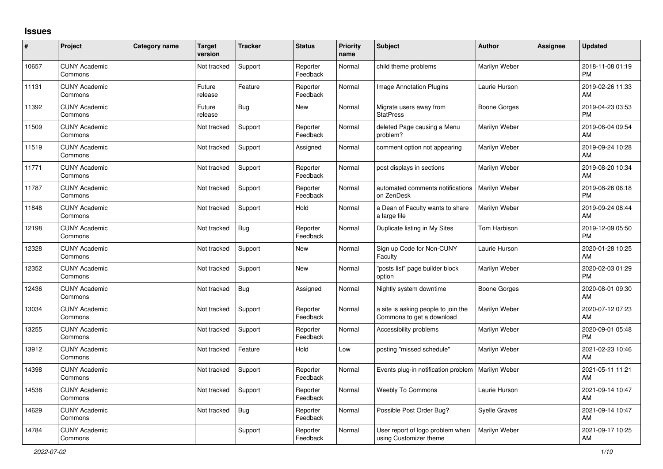## **Issues**

| #     | Project                         | Category name | Target<br>version | <b>Tracker</b> | <b>Status</b>        | <b>Priority</b><br>name | <b>Subject</b>                                                   | Author               | <b>Assignee</b> | <b>Updated</b>                |
|-------|---------------------------------|---------------|-------------------|----------------|----------------------|-------------------------|------------------------------------------------------------------|----------------------|-----------------|-------------------------------|
| 10657 | <b>CUNY Academic</b><br>Commons |               | Not tracked       | Support        | Reporter<br>Feedback | Normal                  | child theme problems                                             | Marilyn Weber        |                 | 2018-11-08 01:19<br><b>PM</b> |
| 11131 | <b>CUNY Academic</b><br>Commons |               | Future<br>release | Feature        | Reporter<br>Feedback | Normal                  | Image Annotation Plugins                                         | Laurie Hurson        |                 | 2019-02-26 11:33<br>AM        |
| 11392 | <b>CUNY Academic</b><br>Commons |               | Future<br>release | <b>Bug</b>     | New                  | Normal                  | Migrate users away from<br><b>StatPress</b>                      | Boone Gorges         |                 | 2019-04-23 03:53<br><b>PM</b> |
| 11509 | <b>CUNY Academic</b><br>Commons |               | Not tracked       | Support        | Reporter<br>Feedback | Normal                  | deleted Page causing a Menu<br>problem?                          | Marilyn Weber        |                 | 2019-06-04 09:54<br>AM        |
| 11519 | <b>CUNY Academic</b><br>Commons |               | Not tracked       | Support        | Assigned             | Normal                  | comment option not appearing                                     | Marilyn Weber        |                 | 2019-09-24 10:28<br>AM        |
| 11771 | <b>CUNY Academic</b><br>Commons |               | Not tracked       | Support        | Reporter<br>Feedback | Normal                  | post displays in sections                                        | Marilyn Weber        |                 | 2019-08-20 10:34<br>AM        |
| 11787 | <b>CUNY Academic</b><br>Commons |               | Not tracked       | Support        | Reporter<br>Feedback | Normal                  | automated comments notifications<br>on ZenDesk                   | Marilyn Weber        |                 | 2019-08-26 06:18<br><b>PM</b> |
| 11848 | <b>CUNY Academic</b><br>Commons |               | Not tracked       | Support        | Hold                 | Normal                  | a Dean of Faculty wants to share<br>a large file                 | Marilyn Weber        |                 | 2019-09-24 08:44<br>AM        |
| 12198 | <b>CUNY Academic</b><br>Commons |               | Not tracked       | Bug            | Reporter<br>Feedback | Normal                  | Duplicate listing in My Sites                                    | Tom Harbison         |                 | 2019-12-09 05:50<br><b>PM</b> |
| 12328 | <b>CUNY Academic</b><br>Commons |               | Not tracked       | Support        | <b>New</b>           | Normal                  | Sign up Code for Non-CUNY<br>Faculty                             | Laurie Hurson        |                 | 2020-01-28 10:25<br>AM        |
| 12352 | <b>CUNY Academic</b><br>Commons |               | Not tracked       | Support        | <b>New</b>           | Normal                  | 'posts list" page builder block<br>option                        | Marilyn Weber        |                 | 2020-02-03 01:29<br><b>PM</b> |
| 12436 | <b>CUNY Academic</b><br>Commons |               | Not tracked       | <b>Bug</b>     | Assigned             | Normal                  | Nightly system downtime                                          | Boone Gorges         |                 | 2020-08-01 09:30<br>AM        |
| 13034 | <b>CUNY Academic</b><br>Commons |               | Not tracked       | Support        | Reporter<br>Feedback | Normal                  | a site is asking people to join the<br>Commons to get a download | Marilyn Weber        |                 | 2020-07-12 07:23<br>AM        |
| 13255 | <b>CUNY Academic</b><br>Commons |               | Not tracked       | Support        | Reporter<br>Feedback | Normal                  | Accessibility problems                                           | Marilyn Weber        |                 | 2020-09-01 05:48<br><b>PM</b> |
| 13912 | <b>CUNY Academic</b><br>Commons |               | Not tracked       | Feature        | Hold                 | Low                     | posting "missed schedule"                                        | Marilyn Weber        |                 | 2021-02-23 10:46<br>AM        |
| 14398 | <b>CUNY Academic</b><br>Commons |               | Not tracked       | Support        | Reporter<br>Feedback | Normal                  | Events plug-in notification problem                              | Marilyn Weber        |                 | 2021-05-11 11:21<br>AM        |
| 14538 | <b>CUNY Academic</b><br>Commons |               | Not tracked       | Support        | Reporter<br>Feedback | Normal                  | <b>Weebly To Commons</b>                                         | Laurie Hurson        |                 | 2021-09-14 10:47<br>AM        |
| 14629 | <b>CUNY Academic</b><br>Commons |               | Not tracked       | Bug            | Reporter<br>Feedback | Normal                  | Possible Post Order Bug?                                         | <b>Syelle Graves</b> |                 | 2021-09-14 10:47<br>AM        |
| 14784 | <b>CUNY Academic</b><br>Commons |               |                   | Support        | Reporter<br>Feedback | Normal                  | User report of logo problem when<br>using Customizer theme       | Marilyn Weber        |                 | 2021-09-17 10:25<br>AM        |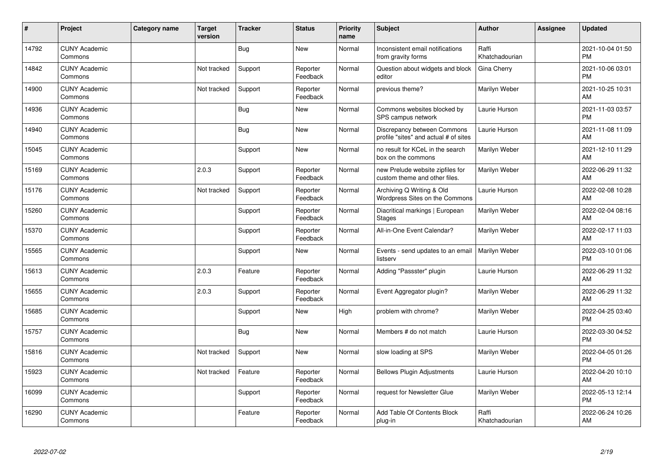| ∦     | Project                         | <b>Category name</b> | <b>Target</b><br>version | <b>Tracker</b> | <b>Status</b>        | Priority<br>name | <b>Subject</b>                                                       | <b>Author</b>           | <b>Assignee</b> | <b>Updated</b>                |
|-------|---------------------------------|----------------------|--------------------------|----------------|----------------------|------------------|----------------------------------------------------------------------|-------------------------|-----------------|-------------------------------|
| 14792 | <b>CUNY Academic</b><br>Commons |                      |                          | <b>Bug</b>     | <b>New</b>           | Normal           | Inconsistent email notifications<br>from gravity forms               | Raffi<br>Khatchadourian |                 | 2021-10-04 01:50<br><b>PM</b> |
| 14842 | <b>CUNY Academic</b><br>Commons |                      | Not tracked              | Support        | Reporter<br>Feedback | Normal           | Question about widgets and block<br>editor                           | Gina Cherry             |                 | 2021-10-06 03:01<br><b>PM</b> |
| 14900 | <b>CUNY Academic</b><br>Commons |                      | Not tracked              | Support        | Reporter<br>Feedback | Normal           | previous theme?                                                      | Marilyn Weber           |                 | 2021-10-25 10:31<br>AM        |
| 14936 | <b>CUNY Academic</b><br>Commons |                      |                          | <b>Bug</b>     | <b>New</b>           | Normal           | Commons websites blocked by<br>SPS campus network                    | Laurie Hurson           |                 | 2021-11-03 03:57<br><b>PM</b> |
| 14940 | <b>CUNY Academic</b><br>Commons |                      |                          | <b>Bug</b>     | <b>New</b>           | Normal           | Discrepancy between Commons<br>profile "sites" and actual # of sites | Laurie Hurson           |                 | 2021-11-08 11:09<br>AM        |
| 15045 | <b>CUNY Academic</b><br>Commons |                      |                          | Support        | <b>New</b>           | Normal           | no result for KCeL in the search<br>box on the commons               | Marilyn Weber           |                 | 2021-12-10 11:29<br><b>AM</b> |
| 15169 | <b>CUNY Academic</b><br>Commons |                      | 2.0.3                    | Support        | Reporter<br>Feedback | Normal           | new Prelude website zipfiles for<br>custom theme and other files.    | Marilyn Weber           |                 | 2022-06-29 11:32<br>AM        |
| 15176 | <b>CUNY Academic</b><br>Commons |                      | Not tracked              | Support        | Reporter<br>Feedback | Normal           | Archiving Q Writing & Old<br>Wordpress Sites on the Commons          | Laurie Hurson           |                 | 2022-02-08 10:28<br>AM        |
| 15260 | <b>CUNY Academic</b><br>Commons |                      |                          | Support        | Reporter<br>Feedback | Normal           | Diacritical markings   European<br><b>Stages</b>                     | Marilyn Weber           |                 | 2022-02-04 08:16<br>AM        |
| 15370 | <b>CUNY Academic</b><br>Commons |                      |                          | Support        | Reporter<br>Feedback | Normal           | All-in-One Event Calendar?                                           | Marilyn Weber           |                 | 2022-02-17 11:03<br>AM        |
| 15565 | <b>CUNY Academic</b><br>Commons |                      |                          | Support        | <b>New</b>           | Normal           | Events - send updates to an email<br>listserv                        | Marilyn Weber           |                 | 2022-03-10 01:06<br><b>PM</b> |
| 15613 | <b>CUNY Academic</b><br>Commons |                      | 2.0.3                    | Feature        | Reporter<br>Feedback | Normal           | Adding "Passster" plugin                                             | Laurie Hurson           |                 | 2022-06-29 11:32<br>AM        |
| 15655 | <b>CUNY Academic</b><br>Commons |                      | 2.0.3                    | Support        | Reporter<br>Feedback | Normal           | Event Aggregator plugin?                                             | Marilyn Weber           |                 | 2022-06-29 11:32<br><b>AM</b> |
| 15685 | <b>CUNY Academic</b><br>Commons |                      |                          | Support        | <b>New</b>           | High             | problem with chrome?                                                 | Marilyn Weber           |                 | 2022-04-25 03:40<br><b>PM</b> |
| 15757 | <b>CUNY Academic</b><br>Commons |                      |                          | Bug            | <b>New</b>           | Normal           | Members # do not match                                               | Laurie Hurson           |                 | 2022-03-30 04:52<br><b>PM</b> |
| 15816 | <b>CUNY Academic</b><br>Commons |                      | Not tracked              | Support        | New                  | Normal           | slow loading at SPS                                                  | Marilyn Weber           |                 | 2022-04-05 01:26<br><b>PM</b> |
| 15923 | <b>CUNY Academic</b><br>Commons |                      | Not tracked              | Feature        | Reporter<br>Feedback | Normal           | <b>Bellows Plugin Adjustments</b>                                    | Laurie Hurson           |                 | 2022-04-20 10:10<br>AM        |
| 16099 | <b>CUNY Academic</b><br>Commons |                      |                          | Support        | Reporter<br>Feedback | Normal           | request for Newsletter Glue                                          | Marilyn Weber           |                 | 2022-05-13 12:14<br><b>PM</b> |
| 16290 | <b>CUNY Academic</b><br>Commons |                      |                          | Feature        | Reporter<br>Feedback | Normal           | Add Table Of Contents Block<br>plug-in                               | Raffi<br>Khatchadourian |                 | 2022-06-24 10:26<br>AM        |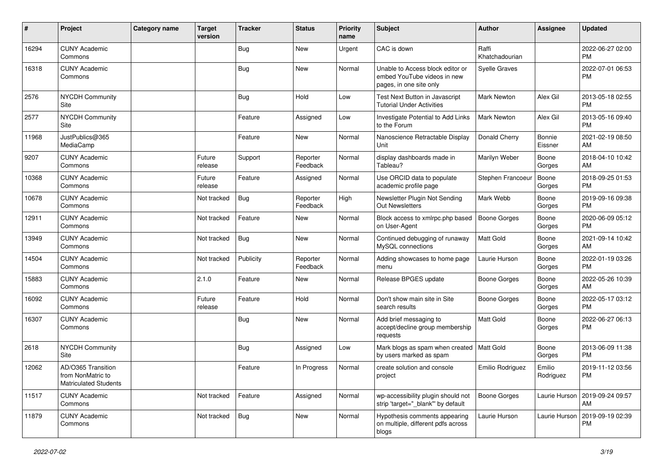| $\pmb{\#}$ | Project                                                                 | <b>Category name</b> | <b>Target</b><br>version | <b>Tracker</b> | <b>Status</b>        | Priority<br>name | <b>Subject</b>                                                                             | <b>Author</b>           | <b>Assignee</b>     | <b>Updated</b>                |
|------------|-------------------------------------------------------------------------|----------------------|--------------------------|----------------|----------------------|------------------|--------------------------------------------------------------------------------------------|-------------------------|---------------------|-------------------------------|
| 16294      | <b>CUNY Academic</b><br>Commons                                         |                      |                          | <b>Bug</b>     | <b>New</b>           | Urgent           | CAC is down                                                                                | Raffi<br>Khatchadourian |                     | 2022-06-27 02:00<br>PM.       |
| 16318      | <b>CUNY Academic</b><br>Commons                                         |                      |                          | <b>Bug</b>     | New                  | Normal           | Unable to Access block editor or<br>embed YouTube videos in new<br>pages, in one site only | <b>Syelle Graves</b>    |                     | 2022-07-01 06:53<br><b>PM</b> |
| 2576       | <b>NYCDH Community</b><br>Site                                          |                      |                          | Bug            | Hold                 | Low              | Test Next Button in Javascript<br><b>Tutorial Under Activities</b>                         | Mark Newton             | Alex Gil            | 2013-05-18 02:55<br><b>PM</b> |
| 2577       | <b>NYCDH Community</b><br>Site                                          |                      |                          | Feature        | Assigned             | Low              | Investigate Potential to Add Links<br>to the Forum                                         | <b>Mark Newton</b>      | Alex Gil            | 2013-05-16 09:40<br><b>PM</b> |
| 11968      | JustPublics@365<br>MediaCamp                                            |                      |                          | Feature        | <b>New</b>           | Normal           | Nanoscience Retractable Display<br>Unit                                                    | Donald Cherry           | Bonnie<br>Eissner   | 2021-02-19 08:50<br>AM        |
| 9207       | <b>CUNY Academic</b><br>Commons                                         |                      | Future<br>release        | Support        | Reporter<br>Feedback | Normal           | display dashboards made in<br>Tableau?                                                     | Marilyn Weber           | Boone<br>Gorges     | 2018-04-10 10:42<br>AM        |
| 10368      | <b>CUNY Academic</b><br>Commons                                         |                      | Future<br>release        | Feature        | Assigned             | Normal           | Use ORCID data to populate<br>academic profile page                                        | Stephen Francoeur       | Boone<br>Gorges     | 2018-09-25 01:53<br><b>PM</b> |
| 10678      | <b>CUNY Academic</b><br>Commons                                         |                      | Not tracked              | Bug            | Reporter<br>Feedback | High             | Newsletter Plugin Not Sending<br>Out Newsletters                                           | Mark Webb               | Boone<br>Gorges     | 2019-09-16 09:38<br><b>PM</b> |
| 12911      | <b>CUNY Academic</b><br>Commons                                         |                      | Not tracked              | Feature        | <b>New</b>           | Normal           | Block access to xmlrpc.php based<br>on User-Agent                                          | <b>Boone Gorges</b>     | Boone<br>Gorges     | 2020-06-09 05:12<br>PM.       |
| 13949      | <b>CUNY Academic</b><br>Commons                                         |                      | Not tracked              | Bug            | New                  | Normal           | Continued debugging of runaway<br>MySQL connections                                        | <b>Matt Gold</b>        | Boone<br>Gorges     | 2021-09-14 10:42<br>AM        |
| 14504      | <b>CUNY Academic</b><br>Commons                                         |                      | Not tracked              | Publicity      | Reporter<br>Feedback | Normal           | Adding showcases to home page<br>menu                                                      | Laurie Hurson           | Boone<br>Gorges     | 2022-01-19 03:26<br><b>PM</b> |
| 15883      | <b>CUNY Academic</b><br>Commons                                         |                      | 2.1.0                    | Feature        | New                  | Normal           | Release BPGES update                                                                       | Boone Gorges            | Boone<br>Gorges     | 2022-05-26 10:39<br>AM        |
| 16092      | <b>CUNY Academic</b><br>Commons                                         |                      | Future<br>release        | Feature        | Hold                 | Normal           | Don't show main site in Site<br>search results                                             | Boone Gorges            | Boone<br>Gorges     | 2022-05-17 03:12<br><b>PM</b> |
| 16307      | <b>CUNY Academic</b><br>Commons                                         |                      |                          | Bug            | New                  | Normal           | Add brief messaging to<br>accept/decline group membership<br>requests                      | Matt Gold               | Boone<br>Gorges     | 2022-06-27 06:13<br><b>PM</b> |
| 2618       | <b>NYCDH Community</b><br>Site                                          |                      |                          | Bug            | Assigned             | Low              | Mark blogs as spam when created   Matt Gold<br>by users marked as spam                     |                         | Boone<br>Gorges     | 2013-06-09 11:38<br><b>PM</b> |
| 12062      | AD/O365 Transition<br>from NonMatric to<br><b>Matriculated Students</b> |                      |                          | Feature        | In Progress          | Normal           | create solution and console<br>project                                                     | Emilio Rodriguez        | Emilio<br>Rodriguez | 2019-11-12 03:56<br>PM        |
| 11517      | <b>CUNY Academic</b><br>Commons                                         |                      | Not tracked              | Feature        | Assigned             | Normal           | wp-accessibility plugin should not<br>strip 'target="_blank" by default                    | Boone Gorges            | Laurie Hurson       | 2019-09-24 09:57<br>AM        |
| 11879      | <b>CUNY Academic</b><br>Commons                                         |                      | Not tracked              | Bug            | New                  | Normal           | Hypothesis comments appearing<br>on multiple, different pdfs across<br>blogs               | Laurie Hurson           | Laurie Hurson       | 2019-09-19 02:39<br><b>PM</b> |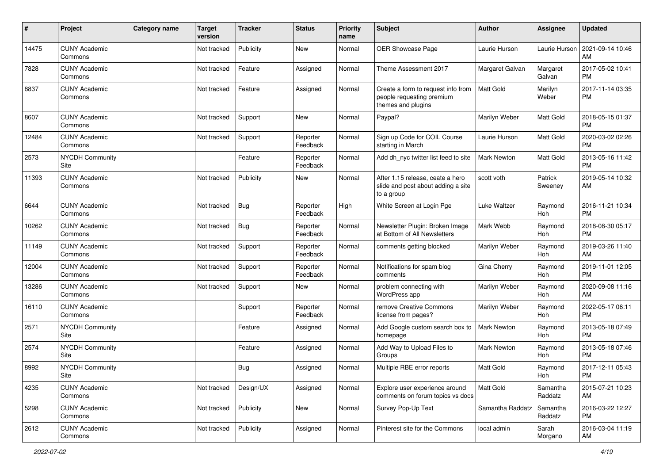| #     | Project                         | Category name | <b>Target</b><br>version | <b>Tracker</b> | <b>Status</b>        | <b>Priority</b><br>name | Subject                                                                               | Author             | <b>Assignee</b>     | <b>Updated</b>                |
|-------|---------------------------------|---------------|--------------------------|----------------|----------------------|-------------------------|---------------------------------------------------------------------------------------|--------------------|---------------------|-------------------------------|
| 14475 | <b>CUNY Academic</b><br>Commons |               | Not tracked              | Publicity      | <b>New</b>           | Normal                  | OER Showcase Page                                                                     | Laurie Hurson      | Laurie Hurson       | 2021-09-14 10:46<br>AM        |
| 7828  | <b>CUNY Academic</b><br>Commons |               | Not tracked              | Feature        | Assigned             | Normal                  | Theme Assessment 2017                                                                 | Margaret Galvan    | Margaret<br>Galvan  | 2017-05-02 10:41<br><b>PM</b> |
| 8837  | <b>CUNY Academic</b><br>Commons |               | Not tracked              | Feature        | Assigned             | Normal                  | Create a form to request info from<br>people requesting premium<br>themes and plugins | <b>Matt Gold</b>   | Marilyn<br>Weber    | 2017-11-14 03:35<br><b>PM</b> |
| 8607  | <b>CUNY Academic</b><br>Commons |               | Not tracked              | Support        | New                  | Normal                  | Paypal?                                                                               | Marilyn Weber      | Matt Gold           | 2018-05-15 01:37<br><b>PM</b> |
| 12484 | <b>CUNY Academic</b><br>Commons |               | Not tracked              | Support        | Reporter<br>Feedback | Normal                  | Sign up Code for COIL Course<br>starting in March                                     | Laurie Hurson      | Matt Gold           | 2020-03-02 02:26<br><b>PM</b> |
| 2573  | <b>NYCDH Community</b><br>Site  |               |                          | Feature        | Reporter<br>Feedback | Normal                  | Add dh nyc twitter list feed to site                                                  | <b>Mark Newton</b> | Matt Gold           | 2013-05-16 11:42<br><b>PM</b> |
| 11393 | <b>CUNY Academic</b><br>Commons |               | Not tracked              | Publicity      | New                  | Normal                  | After 1.15 release, ceate a hero<br>slide and post about adding a site<br>to a group  | scott voth         | Patrick<br>Sweeney  | 2019-05-14 10:32<br>AM        |
| 6644  | <b>CUNY Academic</b><br>Commons |               | Not tracked              | Bug            | Reporter<br>Feedback | High                    | White Screen at Login Pge                                                             | Luke Waltzer       | Raymond<br>Hoh      | 2016-11-21 10:34<br><b>PM</b> |
| 10262 | <b>CUNY Academic</b><br>Commons |               | Not tracked              | <b>Bug</b>     | Reporter<br>Feedback | Normal                  | Newsletter Plugin: Broken Image<br>at Bottom of All Newsletters                       | Mark Webb          | Raymond<br>Hoh      | 2018-08-30 05:17<br><b>PM</b> |
| 11149 | <b>CUNY Academic</b><br>Commons |               | Not tracked              | Support        | Reporter<br>Feedback | Normal                  | comments getting blocked                                                              | Marilyn Weber      | Raymond<br>Hoh      | 2019-03-26 11:40<br>AM        |
| 12004 | <b>CUNY Academic</b><br>Commons |               | Not tracked              | Support        | Reporter<br>Feedback | Normal                  | Notifications for spam blog<br>comments                                               | Gina Cherry        | Raymond<br>Hoh      | 2019-11-01 12:05<br><b>PM</b> |
| 13286 | <b>CUNY Academic</b><br>Commons |               | Not tracked              | Support        | New                  | Normal                  | problem connecting with<br>WordPress app                                              | Marilyn Weber      | Raymond<br>Hoh      | 2020-09-08 11:16<br>AM        |
| 16110 | <b>CUNY Academic</b><br>Commons |               |                          | Support        | Reporter<br>Feedback | Normal                  | remove Creative Commons<br>license from pages?                                        | Marilyn Weber      | Raymond<br>Hoh      | 2022-05-17 06:11<br><b>PM</b> |
| 2571  | <b>NYCDH Community</b><br>Site  |               |                          | Feature        | Assigned             | Normal                  | Add Google custom search box to<br>homepage                                           | <b>Mark Newton</b> | Raymond<br>Hoh      | 2013-05-18 07:49<br><b>PM</b> |
| 2574  | <b>NYCDH Community</b><br>Site  |               |                          | Feature        | Assigned             | Normal                  | Add Way to Upload Files to<br>Groups                                                  | Mark Newton        | Raymond<br>Hoh      | 2013-05-18 07:46<br><b>PM</b> |
| 8992  | <b>NYCDH Community</b><br>Site  |               |                          | <b>Bug</b>     | Assigned             | Normal                  | Multiple RBE error reports                                                            | Matt Gold          | Raymond<br>Hoh      | 2017-12-11 05:43<br>PM        |
| 4235  | <b>CUNY Academic</b><br>Commons |               | Not tracked              | Design/UX      | Assigned             | Normal                  | Explore user experience around<br>comments on forum topics vs docs                    | <b>Matt Gold</b>   | Samantha<br>Raddatz | 2015-07-21 10:23<br>AM        |
| 5298  | <b>CUNY Academic</b><br>Commons |               | Not tracked              | Publicity      | New                  | Normal                  | Survey Pop-Up Text                                                                    | Samantha Raddatz   | Samantha<br>Raddatz | 2016-03-22 12:27<br><b>PM</b> |
| 2612  | <b>CUNY Academic</b><br>Commons |               | Not tracked              | Publicity      | Assigned             | Normal                  | Pinterest site for the Commons                                                        | local admin        | Sarah<br>Morgano    | 2016-03-04 11:19<br>AM        |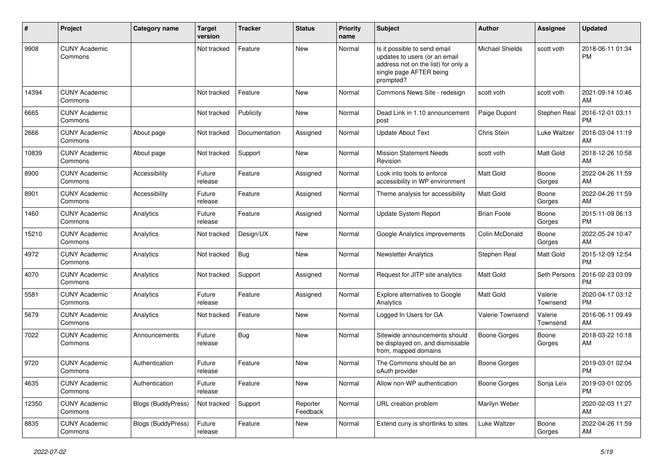| #     | Project                         | Category name             | <b>Target</b><br>version | <b>Tracker</b> | <b>Status</b>        | <b>Priority</b><br>name | Subject                                                                                                                                      | Author                 | Assignee            | <b>Updated</b>                |
|-------|---------------------------------|---------------------------|--------------------------|----------------|----------------------|-------------------------|----------------------------------------------------------------------------------------------------------------------------------------------|------------------------|---------------------|-------------------------------|
| 9908  | <b>CUNY Academic</b><br>Commons |                           | Not tracked              | Feature        | <b>New</b>           | Normal                  | Is it possible to send email<br>updates to users (or an email<br>address not on the list) for only a<br>single page AFTER being<br>prompted? | <b>Michael Shields</b> | scott voth          | 2018-06-11 01:34<br><b>PM</b> |
| 14394 | <b>CUNY Academic</b><br>Commons |                           | Not tracked              | Feature        | <b>New</b>           | Normal                  | Commons News Site - redesign                                                                                                                 | scott voth             | scott voth          | 2021-09-14 10:46<br>AM        |
| 6665  | <b>CUNY Academic</b><br>Commons |                           | Not tracked              | Publicity      | <b>New</b>           | Normal                  | Dead Link in 1.10 announcement<br>post                                                                                                       | Paige Dupont           | Stephen Real        | 2016-12-01 03:11<br>PM        |
| 2666  | <b>CUNY Academic</b><br>Commons | About page                | Not tracked              | Documentation  | Assigned             | Normal                  | <b>Update About Text</b>                                                                                                                     | Chris Stein            | Luke Waltzer        | 2016-03-04 11:19<br>AM        |
| 10839 | <b>CUNY Academic</b><br>Commons | About page                | Not tracked              | Support        | New                  | Normal                  | <b>Mission Statement Needs</b><br>Revision                                                                                                   | scott voth             | <b>Matt Gold</b>    | 2018-12-26 10:58<br>AM        |
| 8900  | <b>CUNY Academic</b><br>Commons | Accessibility             | Future<br>release        | Feature        | Assigned             | Normal                  | Look into tools to enforce<br>accessibility in WP environment                                                                                | Matt Gold              | Boone<br>Gorges     | 2022-04-26 11:59<br>AM        |
| 8901  | <b>CUNY Academic</b><br>Commons | Accessibility             | Future<br>release        | Feature        | Assigned             | Normal                  | Theme analysis for accessibility                                                                                                             | Matt Gold              | Boone<br>Gorges     | 2022-04-26 11:59<br>AM        |
| 1460  | <b>CUNY Academic</b><br>Commons | Analytics                 | Future<br>release        | Feature        | Assigned             | Normal                  | Update System Report                                                                                                                         | <b>Brian Foote</b>     | Boone<br>Gorges     | 2015-11-09 06:13<br><b>PM</b> |
| 15210 | <b>CUNY Academic</b><br>Commons | Analytics                 | Not tracked              | Design/UX      | <b>New</b>           | Normal                  | Google Analytics improvements                                                                                                                | Colin McDonald         | Boone<br>Gorges     | 2022-05-24 10:47<br>AM        |
| 4972  | <b>CUNY Academic</b><br>Commons | Analytics                 | Not tracked              | <b>Bug</b>     | New                  | Normal                  | <b>Newsletter Analytics</b>                                                                                                                  | Stephen Real           | Matt Gold           | 2015-12-09 12:54<br><b>PM</b> |
| 4070  | <b>CUNY Academic</b><br>Commons | Analytics                 | Not tracked              | Support        | Assigned             | Normal                  | Request for JITP site analytics                                                                                                              | <b>Matt Gold</b>       | Seth Persons        | 2016-02-23 03:09<br>PM        |
| 5581  | <b>CUNY Academic</b><br>Commons | Analytics                 | Future<br>release        | Feature        | Assigned             | Normal                  | Explore alternatives to Google<br>Analytics                                                                                                  | Matt Gold              | Valerie<br>Townsend | 2020-04-17 03:12<br><b>PM</b> |
| 5679  | <b>CUNY Academic</b><br>Commons | Analytics                 | Not tracked              | Feature        | <b>New</b>           | Normal                  | Logged In Users for GA                                                                                                                       | Valerie Townsend       | Valerie<br>Townsend | 2016-06-11 09:49<br>AM        |
| 7022  | <b>CUNY Academic</b><br>Commons | Announcements             | Future<br>release        | <b>Bug</b>     | <b>New</b>           | Normal                  | Sitewide announcements should<br>be displayed on, and dismissable<br>from, mapped domains                                                    | <b>Boone Gorges</b>    | Boone<br>Gorges     | 2018-03-22 10:18<br>AM        |
| 9720  | <b>CUNY Academic</b><br>Commons | Authentication            | Future<br>release        | Feature        | <b>New</b>           | Normal                  | The Commons should be an<br>oAuth provider                                                                                                   | <b>Boone Gorges</b>    |                     | 2019-03-01 02:04<br><b>PM</b> |
| 4635  | <b>CUNY Academic</b><br>Commons | Authentication            | Future<br>release        | Feature        | New                  | Normal                  | Allow non-WP authentication                                                                                                                  | <b>Boone Gorges</b>    | Sonja Leix          | 2019-03-01 02:05<br><b>PM</b> |
| 12350 | <b>CUNY Academic</b><br>Commons | <b>Blogs (BuddyPress)</b> | Not tracked              | Support        | Reporter<br>Feedback | Normal                  | URL creation problem                                                                                                                         | Marilyn Weber          |                     | 2020-02-03 11:27<br>AM        |
| 8835  | <b>CUNY Academic</b><br>Commons | Blogs (BuddyPress)        | Future<br>release        | Feature        | New                  | Normal                  | Extend cuny.is shortlinks to sites                                                                                                           | Luke Waltzer           | Boone<br>Gorges     | 2022-04-26 11:59<br>AM        |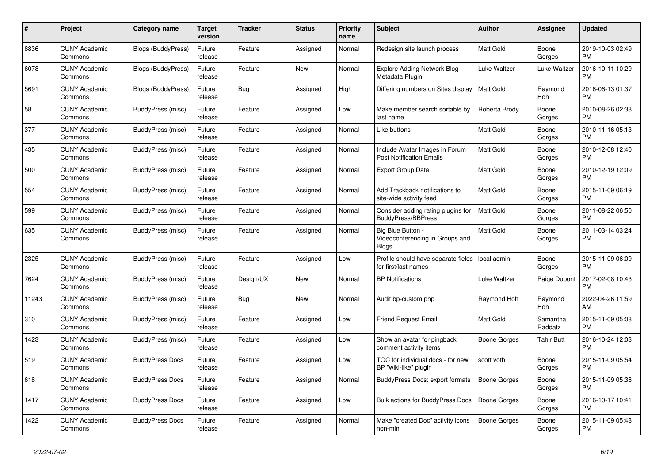| $\#$  | Project                         | <b>Category name</b>      | <b>Target</b><br>version | <b>Tracker</b> | <b>Status</b> | <b>Priority</b><br>name | <b>Subject</b>                                                     | <b>Author</b>       | Assignee            | <b>Updated</b>                |
|-------|---------------------------------|---------------------------|--------------------------|----------------|---------------|-------------------------|--------------------------------------------------------------------|---------------------|---------------------|-------------------------------|
| 8836  | <b>CUNY Academic</b><br>Commons | <b>Blogs (BuddyPress)</b> | Future<br>release        | Feature        | Assigned      | Normal                  | Redesign site launch process                                       | Matt Gold           | Boone<br>Gorges     | 2019-10-03 02:49<br><b>PM</b> |
| 6078  | <b>CUNY Academic</b><br>Commons | Blogs (BuddyPress)        | Future<br>release        | Feature        | New           | Normal                  | Explore Adding Network Blog<br>Metadata Plugin                     | Luke Waltzer        | Luke Waltzer        | 2016-10-11 10:29<br><b>PM</b> |
| 5691  | <b>CUNY Academic</b><br>Commons | <b>Blogs (BuddyPress)</b> | Future<br>release        | Bug            | Assigned      | High                    | Differing numbers on Sites display                                 | <b>Matt Gold</b>    | Raymond<br>Hoh      | 2016-06-13 01:37<br><b>PM</b> |
| 58    | <b>CUNY Academic</b><br>Commons | <b>BuddyPress (misc)</b>  | Future<br>release        | Feature        | Assigned      | Low                     | Make member search sortable by<br>last name                        | Roberta Brody       | Boone<br>Gorges     | 2010-08-26 02:38<br><b>PM</b> |
| 377   | <b>CUNY Academic</b><br>Commons | BuddyPress (misc)         | Future<br>release        | Feature        | Assigned      | Normal                  | Like buttons                                                       | Matt Gold           | Boone<br>Gorges     | 2010-11-16 05:13<br><b>PM</b> |
| 435   | <b>CUNY Academic</b><br>Commons | BuddyPress (misc)         | Future<br>release        | Feature        | Assigned      | Normal                  | Include Avatar Images in Forum<br><b>Post Notification Emails</b>  | <b>Matt Gold</b>    | Boone<br>Gorges     | 2010-12-08 12:40<br><b>PM</b> |
| 500   | <b>CUNY Academic</b><br>Commons | BuddyPress (misc)         | Future<br>release        | Feature        | Assigned      | Normal                  | <b>Export Group Data</b>                                           | Matt Gold           | Boone<br>Gorges     | 2010-12-19 12:09<br><b>PM</b> |
| 554   | <b>CUNY Academic</b><br>Commons | BuddyPress (misc)         | Future<br>release        | Feature        | Assigned      | Normal                  | Add Trackback notifications to<br>site-wide activity feed          | Matt Gold           | Boone<br>Gorges     | 2015-11-09 06:19<br><b>PM</b> |
| 599   | <b>CUNY Academic</b><br>Commons | BuddyPress (misc)         | Future<br>release        | Feature        | Assigned      | Normal                  | Consider adding rating plugins for<br><b>BuddyPress/BBPress</b>    | Matt Gold           | Boone<br>Gorges     | 2011-08-22 06:50<br><b>PM</b> |
| 635   | <b>CUNY Academic</b><br>Commons | BuddyPress (misc)         | Future<br>release        | Feature        | Assigned      | Normal                  | Big Blue Button<br>Videoconferencing in Groups and<br><b>Blogs</b> | Matt Gold           | Boone<br>Gorges     | 2011-03-14 03:24<br><b>PM</b> |
| 2325  | <b>CUNY Academic</b><br>Commons | BuddyPress (misc)         | Future<br>release        | Feature        | Assigned      | Low                     | Profile should have separate fields<br>for first/last names        | local admin         | Boone<br>Gorges     | 2015-11-09 06:09<br><b>PM</b> |
| 7624  | <b>CUNY Academic</b><br>Commons | BuddyPress (misc)         | Future<br>release        | Design/UX      | <b>New</b>    | Normal                  | <b>BP</b> Notifications                                            | Luke Waltzer        | Paige Dupont        | 2017-02-08 10:43<br><b>PM</b> |
| 11243 | <b>CUNY Academic</b><br>Commons | BuddyPress (misc)         | Future<br>release        | Bug            | <b>New</b>    | Normal                  | Audit bp-custom.php                                                | Raymond Hoh         | Raymond<br>Hoh      | 2022-04-26 11:59<br>AM        |
| 310   | <b>CUNY Academic</b><br>Commons | BuddyPress (misc)         | Future<br>release        | Feature        | Assigned      | Low                     | <b>Friend Request Email</b>                                        | Matt Gold           | Samantha<br>Raddatz | 2015-11-09 05:08<br><b>PM</b> |
| 1423  | <b>CUNY Academic</b><br>Commons | BuddyPress (misc)         | Future<br>release        | Feature        | Assigned      | Low                     | Show an avatar for pingback<br>comment activity items              | Boone Gorges        | <b>Tahir Butt</b>   | 2016-10-24 12:03<br><b>PM</b> |
| 519   | <b>CUNY Academic</b><br>Commons | <b>BuddyPress Docs</b>    | Future<br>release        | Feature        | Assigned      | Low                     | TOC for individual docs - for new<br>BP "wiki-like" plugin         | scott voth          | Boone<br>Gorges     | 2015-11-09 05:54<br><b>PM</b> |
| 618   | <b>CUNY Academic</b><br>Commons | <b>BuddyPress Docs</b>    | Future<br>release        | Feature        | Assigned      | Normal                  | BuddyPress Docs: export formats                                    | <b>Boone Gorges</b> | Boone<br>Gorges     | 2015-11-09 05:38<br><b>PM</b> |
| 1417  | <b>CUNY Academic</b><br>Commons | <b>BuddyPress Docs</b>    | Future<br>release        | Feature        | Assigned      | Low                     | Bulk actions for BuddyPress Docs                                   | <b>Boone Gorges</b> | Boone<br>Gorges     | 2016-10-17 10:41<br><b>PM</b> |
| 1422  | <b>CUNY Academic</b><br>Commons | <b>BuddyPress Docs</b>    | Future<br>release        | Feature        | Assigned      | Normal                  | Make "created Doc" activity icons<br>non-mini                      | Boone Gorges        | Boone<br>Gorges     | 2015-11-09 05:48<br>PM        |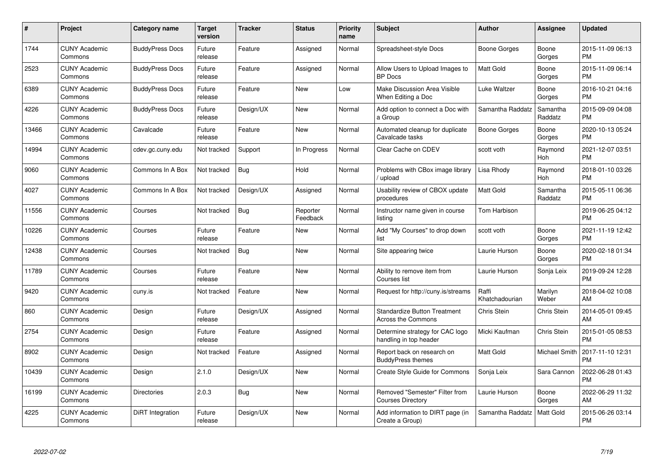| $\#$  | Project                         | <b>Category name</b>   | <b>Target</b><br>version | <b>Tracker</b> | <b>Status</b>        | Priority<br>name | <b>Subject</b>                                                   | <b>Author</b>           | <b>Assignee</b>     | <b>Updated</b>                |
|-------|---------------------------------|------------------------|--------------------------|----------------|----------------------|------------------|------------------------------------------------------------------|-------------------------|---------------------|-------------------------------|
| 1744  | <b>CUNY Academic</b><br>Commons | <b>BuddyPress Docs</b> | Future<br>release        | Feature        | Assigned             | Normal           | Spreadsheet-style Docs                                           | Boone Gorges            | Boone<br>Gorges     | 2015-11-09 06:13<br><b>PM</b> |
| 2523  | <b>CUNY Academic</b><br>Commons | <b>BuddyPress Docs</b> | Future<br>release        | Feature        | Assigned             | Normal           | Allow Users to Upload Images to<br>BP Docs                       | <b>Matt Gold</b>        | Boone<br>Gorges     | 2015-11-09 06:14<br><b>PM</b> |
| 6389  | <b>CUNY Academic</b><br>Commons | <b>BuddyPress Docs</b> | Future<br>release        | Feature        | <b>New</b>           | Low              | Make Discussion Area Visible<br>When Editing a Doc               | Luke Waltzer            | Boone<br>Gorges     | 2016-10-21 04:16<br><b>PM</b> |
| 4226  | <b>CUNY Academic</b><br>Commons | <b>BuddyPress Docs</b> | Future<br>release        | Design/UX      | <b>New</b>           | Normal           | Add option to connect a Doc with<br>a Group                      | Samantha Raddatz        | Samantha<br>Raddatz | 2015-09-09 04:08<br><b>PM</b> |
| 13466 | <b>CUNY Academic</b><br>Commons | Cavalcade              | Future<br>release        | Feature        | <b>New</b>           | Normal           | Automated cleanup for duplicate<br>Cavalcade tasks               | Boone Gorges            | Boone<br>Gorges     | 2020-10-13 05:24<br><b>PM</b> |
| 14994 | <b>CUNY Academic</b><br>Commons | cdev.gc.cuny.edu       | Not tracked              | Support        | In Progress          | Normal           | Clear Cache on CDEV                                              | scott voth              | Raymond<br>Hoh      | 2021-12-07 03:51<br><b>PM</b> |
| 9060  | <b>CUNY Academic</b><br>Commons | Commons In A Box       | Not tracked              | Bug            | Hold                 | Normal           | Problems with CBox image library<br>/ upload                     | Lisa Rhody              | Raymond<br>Hoh      | 2018-01-10 03:26<br><b>PM</b> |
| 4027  | <b>CUNY Academic</b><br>Commons | Commons In A Box       | Not tracked              | Design/UX      | Assigned             | Normal           | Usability review of CBOX update<br>procedures                    | Matt Gold               | Samantha<br>Raddatz | 2015-05-11 06:36<br><b>PM</b> |
| 11556 | <b>CUNY Academic</b><br>Commons | Courses                | Not tracked              | <b>Bug</b>     | Reporter<br>Feedback | Normal           | Instructor name given in course<br>listing                       | Tom Harbison            |                     | 2019-06-25 04:12<br><b>PM</b> |
| 10226 | <b>CUNY Academic</b><br>Commons | Courses                | Future<br>release        | Feature        | <b>New</b>           | Normal           | Add "My Courses" to drop down<br>list                            | scott voth              | Boone<br>Gorges     | 2021-11-19 12:42<br><b>PM</b> |
| 12438 | <b>CUNY Academic</b><br>Commons | Courses                | Not tracked              | Bug            | New                  | Normal           | Site appearing twice                                             | Laurie Hurson           | Boone<br>Gorges     | 2020-02-18 01:34<br><b>PM</b> |
| 11789 | <b>CUNY Academic</b><br>Commons | Courses                | Future<br>release        | Feature        | New                  | Normal           | Ability to remove item from<br>Courses list                      | Laurie Hurson           | Sonja Leix          | 2019-09-24 12:28<br><b>PM</b> |
| 9420  | <b>CUNY Academic</b><br>Commons | cuny.is                | Not tracked              | Feature        | New                  | Normal           | Request for http://cuny.is/streams                               | Raffi<br>Khatchadourian | Marilyn<br>Weber    | 2018-04-02 10:08<br>AM        |
| 860   | <b>CUNY Academic</b><br>Commons | Design                 | Future<br>release        | Design/UX      | Assigned             | Normal           | <b>Standardize Button Treatment</b><br><b>Across the Commons</b> | Chris Stein             | Chris Stein         | 2014-05-01 09:45<br>AM        |
| 2754  | <b>CUNY Academic</b><br>Commons | Design                 | Future<br>release        | Feature        | Assigned             | Normal           | Determine strategy for CAC logo<br>handling in top header        | Micki Kaufman           | Chris Stein         | 2015-01-05 08:53<br><b>PM</b> |
| 8902  | <b>CUNY Academic</b><br>Commons | Design                 | Not tracked              | Feature        | Assigned             | Normal           | Report back on research on<br><b>BuddyPress themes</b>           | Matt Gold               | Michael Smith       | 2017-11-10 12:31<br><b>PM</b> |
| 10439 | <b>CUNY Academic</b><br>Commons | Design                 | 2.1.0                    | Design/UX      | New                  | Normal           | Create Style Guide for Commons                                   | Sonja Leix              | Sara Cannon         | 2022-06-28 01:43<br><b>PM</b> |
| 16199 | <b>CUNY Academic</b><br>Commons | <b>Directories</b>     | 2.0.3                    | Bug            | <b>New</b>           | Normal           | Removed "Semester" Filter from<br><b>Courses Directory</b>       | Laurie Hurson           | Boone<br>Gorges     | 2022-06-29 11:32<br>AM        |
| 4225  | CUNY Academic<br>Commons        | DiRT Integration       | Future<br>release        | Design/UX      | <b>New</b>           | Normal           | Add information to DIRT page (in<br>Create a Group)              | Samantha Raddatz        | Matt Gold           | 2015-06-26 03:14<br><b>PM</b> |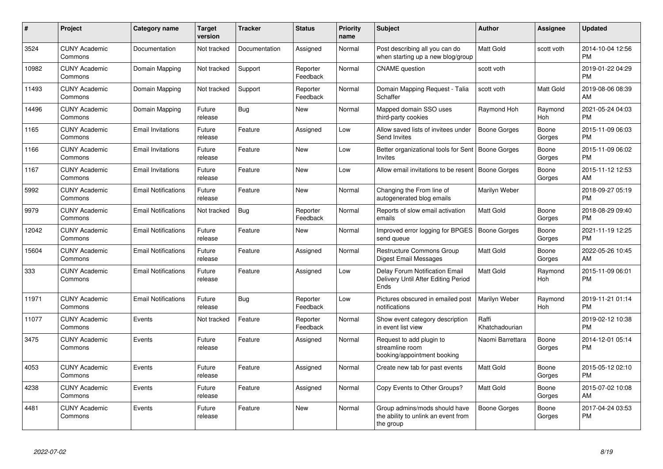| #     | <b>Project</b>                  | Category name              | <b>Target</b><br>version | <b>Tracker</b> | <b>Status</b>        | <b>Priority</b><br>name | <b>Subject</b>                                                                       | <b>Author</b>           | Assignee        | <b>Updated</b>                |
|-------|---------------------------------|----------------------------|--------------------------|----------------|----------------------|-------------------------|--------------------------------------------------------------------------------------|-------------------------|-----------------|-------------------------------|
| 3524  | <b>CUNY Academic</b><br>Commons | Documentation              | Not tracked              | Documentation  | Assigned             | Normal                  | Post describing all you can do<br>when starting up a new blog/group                  | <b>Matt Gold</b>        | scott voth      | 2014-10-04 12:56<br><b>PM</b> |
| 10982 | <b>CUNY Academic</b><br>Commons | Domain Mapping             | Not tracked              | Support        | Reporter<br>Feedback | Normal                  | <b>CNAME</b> question                                                                | scott voth              |                 | 2019-01-22 04:29<br><b>PM</b> |
| 11493 | <b>CUNY Academic</b><br>Commons | Domain Mapping             | Not tracked              | Support        | Reporter<br>Feedback | Normal                  | Domain Mapping Request - Talia<br>Schaffer                                           | scott voth              | Matt Gold       | 2019-08-06 08:39<br>AM        |
| 14496 | <b>CUNY Academic</b><br>Commons | Domain Mapping             | Future<br>release        | Bug            | New                  | Normal                  | Mapped domain SSO uses<br>third-party cookies                                        | Raymond Hoh             | Raymond<br>Hoh  | 2021-05-24 04:03<br><b>PM</b> |
| 1165  | <b>CUNY Academic</b><br>Commons | <b>Email Invitations</b>   | Future<br>release        | Feature        | Assigned             | Low                     | Allow saved lists of invitees under<br>Send Invites                                  | Boone Gorges            | Boone<br>Gorges | 2015-11-09 06:03<br><b>PM</b> |
| 1166  | <b>CUNY Academic</b><br>Commons | <b>Email Invitations</b>   | Future<br>release        | Feature        | New                  | Low                     | Better organizational tools for Sent<br><b>Invites</b>                               | Boone Gorges            | Boone<br>Gorges | 2015-11-09 06:02<br><b>PM</b> |
| 1167  | <b>CUNY Academic</b><br>Commons | <b>Email Invitations</b>   | Future<br>release        | Feature        | <b>New</b>           | Low                     | Allow email invitations to be resent                                                 | Boone Gorges            | Boone<br>Gorges | 2015-11-12 12:53<br>AM        |
| 5992  | <b>CUNY Academic</b><br>Commons | <b>Email Notifications</b> | Future<br>release        | Feature        | <b>New</b>           | Normal                  | Changing the From line of<br>autogenerated blog emails                               | Marilyn Weber           |                 | 2018-09-27 05:19<br><b>PM</b> |
| 9979  | <b>CUNY Academic</b><br>Commons | <b>Email Notifications</b> | Not tracked              | Bug            | Reporter<br>Feedback | Normal                  | Reports of slow email activation<br>emails                                           | <b>Matt Gold</b>        | Boone<br>Gorges | 2018-08-29 09:40<br><b>PM</b> |
| 12042 | <b>CUNY Academic</b><br>Commons | <b>Email Notifications</b> | Future<br>release        | Feature        | <b>New</b>           | Normal                  | Improved error logging for BPGES<br>send queue                                       | Boone Gorges            | Boone<br>Gorges | 2021-11-19 12:25<br><b>PM</b> |
| 15604 | <b>CUNY Academic</b><br>Commons | <b>Email Notifications</b> | Future<br>release        | Feature        | Assigned             | Normal                  | <b>Restructure Commons Group</b><br>Digest Email Messages                            | Matt Gold               | Boone<br>Gorges | 2022-05-26 10:45<br><b>AM</b> |
| 333   | <b>CUNY Academic</b><br>Commons | <b>Email Notifications</b> | Future<br>release        | Feature        | Assigned             | Low                     | <b>Delay Forum Notification Email</b><br>Delivery Until After Editing Period<br>Ends | Matt Gold               | Raymond<br>Hoh  | 2015-11-09 06:01<br><b>PM</b> |
| 11971 | <b>CUNY Academic</b><br>Commons | <b>Email Notifications</b> | Future<br>release        | Bug            | Reporter<br>Feedback | Low                     | Pictures obscured in emailed post<br>notifications                                   | Marilyn Weber           | Raymond<br>Hoh  | 2019-11-21 01:14<br><b>PM</b> |
| 11077 | <b>CUNY Academic</b><br>Commons | Events                     | Not tracked              | Feature        | Reporter<br>Feedback | Normal                  | Show event category description<br>in event list view                                | Raffi<br>Khatchadourian |                 | 2019-02-12 10:38<br>PM        |
| 3475  | <b>CUNY Academic</b><br>Commons | Events                     | Future<br>release        | Feature        | Assigned             | Normal                  | Request to add plugin to<br>streamline room<br>booking/appointment booking           | Naomi Barrettara        | Boone<br>Gorges | 2014-12-01 05:14<br>PM        |
| 4053  | <b>CUNY Academic</b><br>Commons | Events                     | Future<br>release        | Feature        | Assigned             | Normal                  | Create new tab for past events                                                       | Matt Gold               | Boone<br>Gorges | 2015-05-12 02:10<br><b>PM</b> |
| 4238  | <b>CUNY Academic</b><br>Commons | Events                     | Future<br>release        | Feature        | Assigned             | Normal                  | Copy Events to Other Groups?                                                         | Matt Gold               | Boone<br>Gorges | 2015-07-02 10:08<br>AM        |
| 4481  | <b>CUNY Academic</b><br>Commons | Events                     | Future<br>release        | Feature        | New                  | Normal                  | Group admins/mods should have<br>the ability to unlink an event from<br>the group    | Boone Gorges            | Boone<br>Gorges | 2017-04-24 03:53<br><b>PM</b> |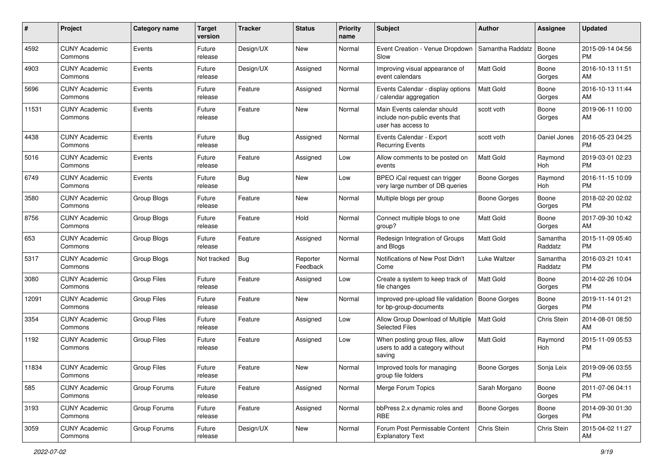| #     | Project                         | <b>Category name</b> | <b>Target</b><br>version | <b>Tracker</b> | <b>Status</b>        | <b>Priority</b><br>name | Subject                                                                             | Author              | <b>Assignee</b>     | <b>Updated</b>                |
|-------|---------------------------------|----------------------|--------------------------|----------------|----------------------|-------------------------|-------------------------------------------------------------------------------------|---------------------|---------------------|-------------------------------|
| 4592  | <b>CUNY Academic</b><br>Commons | Events               | Future<br>release        | Design/UX      | New                  | Normal                  | Event Creation - Venue Dropdown<br>Slow                                             | Samantha Raddatz    | Boone<br>Gorges     | 2015-09-14 04:56<br>PM.       |
| 4903  | <b>CUNY Academic</b><br>Commons | Events               | Future<br>release        | Design/UX      | Assigned             | Normal                  | Improving visual appearance of<br>event calendars                                   | Matt Gold           | Boone<br>Gorges     | 2016-10-13 11:51<br>AM.       |
| 5696  | <b>CUNY Academic</b><br>Commons | Events               | Future<br>release        | Feature        | Assigned             | Normal                  | Events Calendar - display options<br>/ calendar aggregation                         | Matt Gold           | Boone<br>Gorges     | 2016-10-13 11:44<br>AM        |
| 11531 | <b>CUNY Academic</b><br>Commons | Events               | Future<br>release        | Feature        | New                  | Normal                  | Main Events calendar should<br>include non-public events that<br>user has access to | scott voth          | Boone<br>Gorges     | 2019-06-11 10:00<br>AM        |
| 4438  | <b>CUNY Academic</b><br>Commons | Events               | Future<br>release        | Bug            | Assigned             | Normal                  | Events Calendar - Export<br><b>Recurring Events</b>                                 | scott voth          | Daniel Jones        | 2016-05-23 04:25<br>PM.       |
| 5016  | <b>CUNY Academic</b><br>Commons | Events               | Future<br>release        | Feature        | Assigned             | Low                     | Allow comments to be posted on<br>events                                            | <b>Matt Gold</b>    | Raymond<br>Hoh      | 2019-03-01 02:23<br><b>PM</b> |
| 6749  | <b>CUNY Academic</b><br>Commons | Events               | Future<br>release        | Bug            | New                  | Low                     | BPEO iCal request can trigger<br>very large number of DB queries                    | Boone Gorges        | Raymond<br>Hoh      | 2016-11-15 10:09<br><b>PM</b> |
| 3580  | <b>CUNY Academic</b><br>Commons | Group Blogs          | Future<br>release        | Feature        | New                  | Normal                  | Multiple blogs per group                                                            | <b>Boone Gorges</b> | Boone<br>Gorges     | 2018-02-20 02:02<br><b>PM</b> |
| 8756  | <b>CUNY Academic</b><br>Commons | Group Blogs          | Future<br>release        | Feature        | Hold                 | Normal                  | Connect multiple blogs to one<br>qroup?                                             | <b>Matt Gold</b>    | Boone<br>Gorges     | 2017-09-30 10:42<br>AM        |
| 653   | <b>CUNY Academic</b><br>Commons | Group Blogs          | Future<br>release        | Feature        | Assigned             | Normal                  | Redesign Integration of Groups<br>and Blogs                                         | Matt Gold           | Samantha<br>Raddatz | 2015-11-09 05:40<br><b>PM</b> |
| 5317  | <b>CUNY Academic</b><br>Commons | Group Blogs          | Not tracked              | Bug            | Reporter<br>Feedback | Normal                  | Notifications of New Post Didn't<br>Come                                            | Luke Waltzer        | Samantha<br>Raddatz | 2016-03-21 10:41<br><b>PM</b> |
| 3080  | <b>CUNY Academic</b><br>Commons | <b>Group Files</b>   | Future<br>release        | Feature        | Assigned             | Low                     | Create a system to keep track of<br>file changes                                    | <b>Matt Gold</b>    | Boone<br>Gorges     | 2014-02-26 10:04<br><b>PM</b> |
| 12091 | <b>CUNY Academic</b><br>Commons | <b>Group Files</b>   | Future<br>release        | Feature        | New                  | Normal                  | Improved pre-upload file validation<br>for bp-group-documents                       | Boone Gorges        | Boone<br>Gorges     | 2019-11-14 01:21<br><b>PM</b> |
| 3354  | <b>CUNY Academic</b><br>Commons | Group Files          | Future<br>release        | Feature        | Assigned             | Low                     | Allow Group Download of Multiple<br><b>Selected Files</b>                           | <b>Matt Gold</b>    | Chris Stein         | 2014-08-01 08:50<br>AM        |
| 1192  | <b>CUNY Academic</b><br>Commons | <b>Group Files</b>   | Future<br>release        | Feature        | Assigned             | Low                     | When posting group files, allow<br>users to add a category without<br>saving        | Matt Gold           | Raymond<br>Hoh      | 2015-11-09 05:53<br><b>PM</b> |
| 11834 | <b>CUNY Academic</b><br>Commons | <b>Group Files</b>   | Future<br>release        | Feature        | New                  | Normal                  | Improved tools for managing<br>group file folders                                   | Boone Gorges        | Sonja Leix          | 2019-09-06 03:55<br><b>PM</b> |
| 585   | <b>CUNY Academic</b><br>Commons | Group Forums         | Future<br>release        | Feature        | Assigned             | Normal                  | Merge Forum Topics                                                                  | Sarah Morgano       | Boone<br>Gorges     | 2011-07-06 04:11<br>PM.       |
| 3193  | <b>CUNY Academic</b><br>Commons | Group Forums         | Future<br>release        | Feature        | Assigned             | Normal                  | bbPress 2.x dynamic roles and<br><b>RBE</b>                                         | Boone Gorges        | Boone<br>Gorges     | 2014-09-30 01:30<br><b>PM</b> |
| 3059  | <b>CUNY Academic</b><br>Commons | Group Forums         | Future<br>release        | Design/UX      | New                  | Normal                  | Forum Post Permissable Content<br><b>Explanatory Text</b>                           | Chris Stein         | Chris Stein         | 2015-04-02 11:27<br>AM        |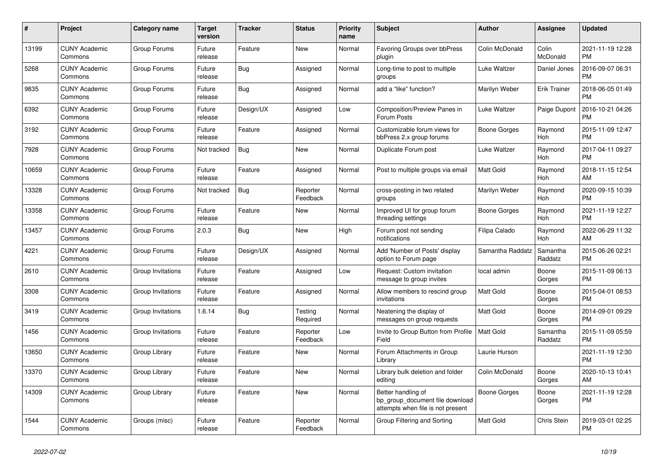| #     | Project                         | Category name     | Target<br>version | Tracker    | <b>Status</b>        | <b>Priority</b><br>name | <b>Subject</b>                                                                             | <b>Author</b>    | Assignee            | <b>Updated</b>                |
|-------|---------------------------------|-------------------|-------------------|------------|----------------------|-------------------------|--------------------------------------------------------------------------------------------|------------------|---------------------|-------------------------------|
| 13199 | <b>CUNY Academic</b><br>Commons | Group Forums      | Future<br>release | Feature    | New                  | Normal                  | <b>Favoring Groups over bbPress</b><br>plugin                                              | Colin McDonald   | Colin<br>McDonald   | 2021-11-19 12:28<br><b>PM</b> |
| 5268  | <b>CUNY Academic</b><br>Commons | Group Forums      | Future<br>release | Bug        | Assigned             | Normal                  | Long-time to post to multiple<br>groups                                                    | Luke Waltzer     | Daniel Jones        | 2016-09-07 06:31<br><b>PM</b> |
| 9835  | <b>CUNY Academic</b><br>Commons | Group Forums      | Future<br>release | Bug        | Assigned             | Normal                  | add a "like" function?                                                                     | Marilyn Weber    | <b>Erik Trainer</b> | 2018-06-05 01:49<br><b>PM</b> |
| 6392  | <b>CUNY Academic</b><br>Commons | Group Forums      | Future<br>release | Design/UX  | Assigned             | Low                     | <b>Composition/Preview Panes in</b><br>Forum Posts                                         | Luke Waltzer     | Paige Dupont        | 2016-10-21 04:26<br><b>PM</b> |
| 3192  | <b>CUNY Academic</b><br>Commons | Group Forums      | Future<br>release | Feature    | Assigned             | Normal                  | Customizable forum views for<br>bbPress 2.x group forums                                   | Boone Gorges     | Raymond<br>Hoh      | 2015-11-09 12:47<br><b>PM</b> |
| 7928  | <b>CUNY Academic</b><br>Commons | Group Forums      | Not tracked       | <b>Bug</b> | New                  | Normal                  | Duplicate Forum post                                                                       | Luke Waltzer     | Raymond<br>Hoh      | 2017-04-11 09:27<br><b>PM</b> |
| 10659 | <b>CUNY Academic</b><br>Commons | Group Forums      | Future<br>release | Feature    | Assigned             | Normal                  | Post to multiple groups via email                                                          | <b>Matt Gold</b> | Raymond<br>Hoh      | 2018-11-15 12:54<br>AM        |
| 13328 | <b>CUNY Academic</b><br>Commons | Group Forums      | Not tracked       | Bug        | Reporter<br>Feedback | Normal                  | cross-posting in two related<br>groups                                                     | Marilyn Weber    | Raymond<br>Hoh      | 2020-09-15 10:39<br><b>PM</b> |
| 13358 | <b>CUNY Academic</b><br>Commons | Group Forums      | Future<br>release | Feature    | New                  | Normal                  | Improved UI for group forum<br>threading settings                                          | Boone Gorges     | Raymond<br>Hoh      | 2021-11-19 12:27<br><b>PM</b> |
| 13457 | <b>CUNY Academic</b><br>Commons | Group Forums      | 2.0.3             | <b>Bug</b> | <b>New</b>           | High                    | Forum post not sending<br>notifications                                                    | Filipa Calado    | Raymond<br>Hoh      | 2022-06-29 11:32<br>AM        |
| 4221  | <b>CUNY Academic</b><br>Commons | Group Forums      | Future<br>release | Design/UX  | Assigned             | Normal                  | Add 'Number of Posts' display<br>option to Forum page                                      | Samantha Raddatz | Samantha<br>Raddatz | 2015-06-26 02:21<br><b>PM</b> |
| 2610  | <b>CUNY Academic</b><br>Commons | Group Invitations | Future<br>release | Feature    | Assigned             | Low                     | Request: Custom invitation<br>message to group invites                                     | local admin      | Boone<br>Gorges     | 2015-11-09 06:13<br><b>PM</b> |
| 3308  | <b>CUNY Academic</b><br>Commons | Group Invitations | Future<br>release | Feature    | Assigned             | Normal                  | Allow members to rescind group<br>invitations                                              | <b>Matt Gold</b> | Boone<br>Gorges     | 2015-04-01 08:53<br><b>PM</b> |
| 3419  | <b>CUNY Academic</b><br>Commons | Group Invitations | 1.6.14            | Bug        | Testing<br>Required  | Normal                  | Neatening the display of<br>messages on group requests                                     | <b>Matt Gold</b> | Boone<br>Gorges     | 2014-09-01 09:29<br><b>PM</b> |
| 1456  | <b>CUNY Academic</b><br>Commons | Group Invitations | Future<br>release | Feature    | Reporter<br>Feedback | Low                     | Invite to Group Button from Profile<br>Field                                               | <b>Matt Gold</b> | Samantha<br>Raddatz | 2015-11-09 05:59<br><b>PM</b> |
| 13650 | <b>CUNY Academic</b><br>Commons | Group Library     | Future<br>release | Feature    | <b>New</b>           | Normal                  | Forum Attachments in Group<br>Library                                                      | Laurie Hurson    |                     | 2021-11-19 12:30<br><b>PM</b> |
| 13370 | <b>CUNY Academic</b><br>Commons | Group Library     | Future<br>release | Feature    | New                  | Normal                  | Library bulk deletion and folder<br>editing                                                | Colin McDonald   | Boone<br>Gorges     | 2020-10-13 10:41<br>AM        |
| 14309 | <b>CUNY Academic</b><br>Commons | Group Library     | Future<br>release | Feature    | New                  | Normal                  | Better handling of<br>bp group document file download<br>attempts when file is not present | Boone Gorges     | Boone<br>Gorges     | 2021-11-19 12:28<br><b>PM</b> |
| 1544  | <b>CUNY Academic</b><br>Commons | Groups (misc)     | Future<br>release | Feature    | Reporter<br>Feedback | Normal                  | Group Filtering and Sorting                                                                | Matt Gold        | Chris Stein         | 2019-03-01 02:25<br><b>PM</b> |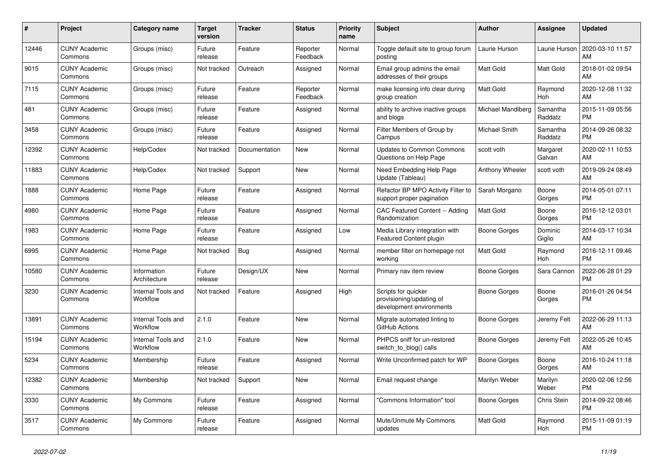| #     | <b>Project</b>                  | <b>Category name</b>                  | <b>Target</b><br>version | <b>Tracker</b> | <b>Status</b>        | <b>Priority</b><br>name | <b>Subject</b>                                                              | <b>Author</b>     | Assignee            | <b>Updated</b>                |
|-------|---------------------------------|---------------------------------------|--------------------------|----------------|----------------------|-------------------------|-----------------------------------------------------------------------------|-------------------|---------------------|-------------------------------|
| 12446 | <b>CUNY Academic</b><br>Commons | Groups (misc)                         | Future<br>release        | Feature        | Reporter<br>Feedback | Normal                  | Toggle default site to group forum<br>posting                               | Laurie Hurson     | Laurie Hurson       | 2020-03-10 11:57<br>AM        |
| 9015  | <b>CUNY Academic</b><br>Commons | Groups (misc)                         | Not tracked              | Outreach       | Assigned             | Normal                  | Email group admins the email<br>addresses of their groups                   | Matt Gold         | Matt Gold           | 2018-01-02 09:54<br>AM        |
| 7115  | <b>CUNY Academic</b><br>Commons | Groups (misc)                         | Future<br>release        | Feature        | Reporter<br>Feedback | Normal                  | make licensing info clear during<br>group creation                          | <b>Matt Gold</b>  | Raymond<br>Hoh      | 2020-12-08 11:32<br>AM        |
| 481   | <b>CUNY Academic</b><br>Commons | Groups (misc)                         | Future<br>release        | Feature        | Assigned             | Normal                  | ability to archive inactive groups<br>and blogs                             | Michael Mandiberg | Samantha<br>Raddatz | 2015-11-09 05:56<br><b>PM</b> |
| 3458  | <b>CUNY Academic</b><br>Commons | Groups (misc)                         | Future<br>release        | Feature        | Assigned             | Normal                  | Filter Members of Group by<br>Campus                                        | Michael Smith     | Samantha<br>Raddatz | 2014-09-26 08:32<br><b>PM</b> |
| 12392 | <b>CUNY Academic</b><br>Commons | Help/Codex                            | Not tracked              | Documentation  | New                  | Normal                  | <b>Updates to Common Commons</b><br>Questions on Help Page                  | scott voth        | Margaret<br>Galvan  | 2020-02-11 10:53<br>AM        |
| 11883 | <b>CUNY Academic</b><br>Commons | Help/Codex                            | Not tracked              | Support        | <b>New</b>           | Normal                  | Need Embedding Help Page<br>Update (Tableau)                                | Anthony Wheeler   | scott voth          | 2019-09-24 08:49<br>AM        |
| 1888  | <b>CUNY Academic</b><br>Commons | Home Page                             | Future<br>release        | Feature        | Assigned             | Normal                  | Refactor BP MPO Activity Filter to<br>support proper pagination             | Sarah Morgano     | Boone<br>Gorges     | 2014-05-01 07:11<br><b>PM</b> |
| 4980  | <b>CUNY Academic</b><br>Commons | Home Page                             | Future<br>release        | Feature        | Assigned             | Normal                  | CAC Featured Content -- Adding<br>Randomization                             | Matt Gold         | Boone<br>Gorges     | 2016-12-12 03:01<br><b>PM</b> |
| 1983  | <b>CUNY Academic</b><br>Commons | Home Page                             | Future<br>release        | Feature        | Assigned             | Low                     | Media Library integration with<br><b>Featured Content plugin</b>            | Boone Gorges      | Dominic<br>Giglio   | 2014-03-17 10:34<br>AM        |
| 6995  | <b>CUNY Academic</b><br>Commons | Home Page                             | Not tracked              | Bug            | Assigned             | Normal                  | member filter on homepage not<br>working                                    | Matt Gold         | Raymond<br>Hoh      | 2016-12-11 09:46<br><b>PM</b> |
| 10580 | <b>CUNY Academic</b><br>Commons | Information<br>Architecture           | Future<br>release        | Design/UX      | New                  | Normal                  | Primary nav item review                                                     | Boone Gorges      | Sara Cannon         | 2022-06-28 01:29<br><b>PM</b> |
| 3230  | <b>CUNY Academic</b><br>Commons | <b>Internal Tools and</b><br>Workflow | Not tracked              | Feature        | Assigned             | High                    | Scripts for quicker<br>provisioning/updating of<br>development environments | Boone Gorges      | Boone<br>Gorges     | 2016-01-26 04:54<br><b>PM</b> |
| 13891 | <b>CUNY Academic</b><br>Commons | Internal Tools and<br>Workflow        | 2.1.0                    | Feature        | New                  | Normal                  | Migrate automated linting to<br>GitHub Actions                              | Boone Gorges      | Jeremy Felt         | 2022-06-29 11:13<br>AM        |
| 15194 | <b>CUNY Academic</b><br>Commons | Internal Tools and<br>Workflow        | 2.1.0                    | Feature        | <b>New</b>           | Normal                  | PHPCS sniff for un-restored<br>switch_to_blog() calls                       | Boone Gorges      | Jeremy Felt         | 2022-05-26 10:45<br>AM        |
| 5234  | <b>CUNY Academic</b><br>Commons | Membership                            | Future<br>release        | Feature        | Assigned             | Normal                  | Write Unconfirmed patch for WP                                              | Boone Gorges      | Boone<br>Gorges     | 2016-10-24 11:18<br>AM        |
| 12382 | <b>CUNY Academic</b><br>Commons | Membership                            | Not tracked              | Support        | New                  | Normal                  | Email request change                                                        | Marilyn Weber     | Marilyn<br>Weber    | 2020-02-06 12:56<br><b>PM</b> |
| 3330  | <b>CUNY Academic</b><br>Commons | My Commons                            | Future<br>release        | Feature        | Assigned             | Normal                  | "Commons Information" tool                                                  | Boone Gorges      | Chris Stein         | 2014-09-22 08:46<br><b>PM</b> |
| 3517  | <b>CUNY Academic</b><br>Commons | My Commons                            | Future<br>release        | Feature        | Assigned             | Normal                  | Mute/Unmute My Commons<br>updates                                           | <b>Matt Gold</b>  | Raymond<br>Hoh      | 2015-11-09 01:19<br><b>PM</b> |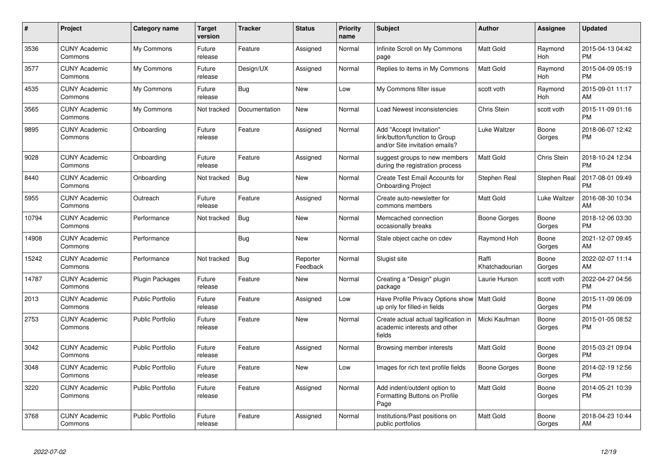| #     | <b>Project</b>                  | Category name           | <b>Target</b><br>version | <b>Tracker</b> | <b>Status</b>        | <b>Priority</b><br>name | <b>Subject</b>                                                                             | <b>Author</b>           | Assignee        | <b>Updated</b>                |
|-------|---------------------------------|-------------------------|--------------------------|----------------|----------------------|-------------------------|--------------------------------------------------------------------------------------------|-------------------------|-----------------|-------------------------------|
| 3536  | <b>CUNY Academic</b><br>Commons | My Commons              | Future<br>release        | Feature        | Assigned             | Normal                  | Infinite Scroll on My Commons<br>page                                                      | <b>Matt Gold</b>        | Raymond<br>Hoh  | 2015-04-13 04:42<br><b>PM</b> |
| 3577  | <b>CUNY Academic</b><br>Commons | My Commons              | Future<br>release        | Design/UX      | Assigned             | Normal                  | Replies to items in My Commons                                                             | <b>Matt Gold</b>        | Raymond<br>Hoh  | 2015-04-09 05:19<br><b>PM</b> |
| 4535  | <b>CUNY Academic</b><br>Commons | My Commons              | Future<br>release        | Bug            | <b>New</b>           | Low                     | My Commons filter issue                                                                    | scott voth              | Raymond<br>Hoh  | 2015-09-01 11:17<br>AM        |
| 3565  | <b>CUNY Academic</b><br>Commons | My Commons              | Not tracked              | Documentation  | New                  | Normal                  | Load Newest inconsistencies                                                                | Chris Stein             | scott voth      | 2015-11-09 01:16<br><b>PM</b> |
| 9895  | <b>CUNY Academic</b><br>Commons | Onboarding              | Future<br>release        | Feature        | Assigned             | Normal                  | Add "Accept Invitation"<br>link/button/function to Group<br>and/or Site invitation emails? | Luke Waltzer            | Boone<br>Gorges | 2018-06-07 12:42<br><b>PM</b> |
| 9028  | <b>CUNY Academic</b><br>Commons | Onboarding              | Future<br>release        | Feature        | Assigned             | Normal                  | suggest groups to new members<br>during the registration process                           | <b>Matt Gold</b>        | Chris Stein     | 2018-10-24 12:34<br><b>PM</b> |
| 8440  | <b>CUNY Academic</b><br>Commons | Onboarding              | Not tracked              | Bug            | <b>New</b>           | Normal                  | Create Test Email Accounts for<br><b>Onboarding Project</b>                                | Stephen Real            | Stephen Real    | 2017-08-01 09:49<br><b>PM</b> |
| 5955  | <b>CUNY Academic</b><br>Commons | Outreach                | Future<br>release        | Feature        | Assigned             | Normal                  | Create auto-newsletter for<br>commons members                                              | <b>Matt Gold</b>        | Luke Waltzer    | 2016-08-30 10:34<br>AM        |
| 10794 | <b>CUNY Academic</b><br>Commons | Performance             | Not tracked              | Bug            | New                  | Normal                  | Memcached connection<br>occasionally breaks                                                | Boone Gorges            | Boone<br>Gorges | 2018-12-06 03:30<br><b>PM</b> |
| 14908 | <b>CUNY Academic</b><br>Commons | Performance             |                          | Bug            | New                  | Normal                  | Stale object cache on cdev                                                                 | Raymond Hoh             | Boone<br>Gorges | 2021-12-07 09:45<br>AM        |
| 15242 | <b>CUNY Academic</b><br>Commons | Performance             | Not tracked              | Bug            | Reporter<br>Feedback | Normal                  | Slugist site                                                                               | Raffi<br>Khatchadourian | Boone<br>Gorges | 2022-02-07 11:14<br>AM        |
| 14787 | <b>CUNY Academic</b><br>Commons | <b>Plugin Packages</b>  | Future<br>release        | Feature        | <b>New</b>           | Normal                  | Creating a "Design" plugin<br>package                                                      | Laurie Hurson           | scott voth      | 2022-04-27 04:56<br><b>PM</b> |
| 2013  | <b>CUNY Academic</b><br>Commons | <b>Public Portfolio</b> | Future<br>release        | Feature        | Assigned             | Low                     | Have Profile Privacy Options show   Matt Gold<br>up only for filled-in fields              |                         | Boone<br>Gorges | 2015-11-09 06:09<br><b>PM</b> |
| 2753  | <b>CUNY Academic</b><br>Commons | Public Portfolio        | Future<br>release        | Feature        | New                  | Normal                  | Create actual actual tagification in<br>academic interests and other<br>fields             | Micki Kaufman           | Boone<br>Gorges | 2015-01-05 08:52<br><b>PM</b> |
| 3042  | <b>CUNY Academic</b><br>Commons | <b>Public Portfolio</b> | Future<br>release        | Feature        | Assigned             | Normal                  | Browsing member interests                                                                  | <b>Matt Gold</b>        | Boone<br>Gorges | 2015-03-21 09:04<br><b>PM</b> |
| 3048  | <b>CUNY Academic</b><br>Commons | <b>Public Portfolio</b> | Future<br>release        | Feature        | <b>New</b>           | Low                     | Images for rich text profile fields                                                        | Boone Gorges            | Boone<br>Gorges | 2014-02-19 12:56<br><b>PM</b> |
| 3220  | <b>CUNY Academic</b><br>Commons | <b>Public Portfolio</b> | Future<br>release        | Feature        | Assigned             | Normal                  | Add indent/outdent option to<br>Formatting Buttons on Profile<br>Page                      | <b>Matt Gold</b>        | Boone<br>Gorges | 2014-05-21 10:39<br><b>PM</b> |
| 3768  | <b>CUNY Academic</b><br>Commons | Public Portfolio        | Future<br>release        | Feature        | Assigned             | Normal                  | Institutions/Past positions on<br>public portfolios                                        | Matt Gold               | Boone<br>Gorges | 2018-04-23 10:44<br>AM        |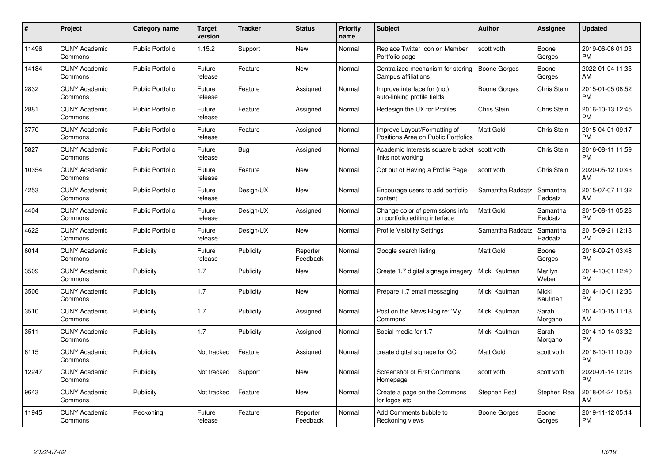| $\#$  | Project                         | <b>Category name</b>    | <b>Target</b><br>version | <b>Tracker</b> | <b>Status</b>        | Priority<br>name | <b>Subject</b>                                                      | <b>Author</b>       | <b>Assignee</b>     | <b>Updated</b>                |
|-------|---------------------------------|-------------------------|--------------------------|----------------|----------------------|------------------|---------------------------------------------------------------------|---------------------|---------------------|-------------------------------|
| 11496 | <b>CUNY Academic</b><br>Commons | <b>Public Portfolio</b> | 1.15.2                   | Support        | <b>New</b>           | Normal           | Replace Twitter Icon on Member<br>Portfolio page                    | scott voth          | Boone<br>Gorges     | 2019-06-06 01:03<br><b>PM</b> |
| 14184 | <b>CUNY Academic</b><br>Commons | <b>Public Portfolio</b> | Future<br>release        | Feature        | <b>New</b>           | Normal           | Centralized mechanism for storing<br>Campus affiliations            | <b>Boone Gorges</b> | Boone<br>Gorges     | 2022-01-04 11:35<br>AM        |
| 2832  | <b>CUNY Academic</b><br>Commons | <b>Public Portfolio</b> | Future<br>release        | Feature        | Assigned             | Normal           | Improve interface for (not)<br>auto-linking profile fields          | Boone Gorges        | Chris Stein         | 2015-01-05 08:52<br><b>PM</b> |
| 2881  | <b>CUNY Academic</b><br>Commons | <b>Public Portfolio</b> | Future<br>release        | Feature        | Assigned             | Normal           | Redesign the UX for Profiles                                        | Chris Stein         | Chris Stein         | 2016-10-13 12:45<br><b>PM</b> |
| 3770  | <b>CUNY Academic</b><br>Commons | <b>Public Portfolio</b> | Future<br>release        | Feature        | Assigned             | Normal           | Improve Layout/Formatting of<br>Positions Area on Public Portfolios | <b>Matt Gold</b>    | Chris Stein         | 2015-04-01 09:17<br><b>PM</b> |
| 5827  | <b>CUNY Academic</b><br>Commons | <b>Public Portfolio</b> | Future<br>release        | <b>Bug</b>     | Assigned             | Normal           | Academic Interests square bracket<br>links not working              | scott voth          | Chris Stein         | 2016-08-11 11:59<br><b>PM</b> |
| 10354 | <b>CUNY Academic</b><br>Commons | <b>Public Portfolio</b> | Future<br>release        | Feature        | New                  | Normal           | Opt out of Having a Profile Page                                    | scott voth          | Chris Stein         | 2020-05-12 10:43<br>AM        |
| 4253  | <b>CUNY Academic</b><br>Commons | <b>Public Portfolio</b> | Future<br>release        | Design/UX      | <b>New</b>           | Normal           | Encourage users to add portfolio<br>content                         | Samantha Raddatz    | Samantha<br>Raddatz | 2015-07-07 11:32<br>AM        |
| 4404  | <b>CUNY Academic</b><br>Commons | <b>Public Portfolio</b> | Future<br>release        | Design/UX      | Assigned             | Normal           | Change color of permissions info<br>on portfolio editing interface  | Matt Gold           | Samantha<br>Raddatz | 2015-08-11 05:28<br><b>PM</b> |
| 4622  | <b>CUNY Academic</b><br>Commons | <b>Public Portfolio</b> | Future<br>release        | Design/UX      | New                  | Normal           | <b>Profile Visibility Settings</b>                                  | Samantha Raddatz    | Samantha<br>Raddatz | 2015-09-21 12:18<br><b>PM</b> |
| 6014  | <b>CUNY Academic</b><br>Commons | Publicity               | Future<br>release        | Publicity      | Reporter<br>Feedback | Normal           | Google search listing                                               | Matt Gold           | Boone<br>Gorges     | 2016-09-21 03:48<br><b>PM</b> |
| 3509  | <b>CUNY Academic</b><br>Commons | Publicity               | 1.7                      | Publicity      | New                  | Normal           | Create 1.7 digital signage imagery                                  | Micki Kaufman       | Marilyn<br>Weber    | 2014-10-01 12:40<br><b>PM</b> |
| 3506  | <b>CUNY Academic</b><br>Commons | Publicity               | 1.7                      | Publicity      | New                  | Normal           | Prepare 1.7 email messaging                                         | Micki Kaufman       | Micki<br>Kaufman    | 2014-10-01 12:36<br><b>PM</b> |
| 3510  | <b>CUNY Academic</b><br>Commons | Publicity               | 1.7                      | Publicity      | Assigned             | Normal           | Post on the News Blog re: 'My<br>Commons'                           | Micki Kaufman       | Sarah<br>Morgano    | 2014-10-15 11:18<br>AM        |
| 3511  | <b>CUNY Academic</b><br>Commons | Publicity               | 1.7                      | Publicity      | Assigned             | Normal           | Social media for 1.7                                                | Micki Kaufman       | Sarah<br>Morgano    | 2014-10-14 03:32<br><b>PM</b> |
| 6115  | <b>CUNY Academic</b><br>Commons | Publicity               | Not tracked              | Feature        | Assigned             | Normal           | create digital signage for GC                                       | Matt Gold           | scott voth          | 2016-10-11 10:09<br><b>PM</b> |
| 12247 | <b>CUNY Academic</b><br>Commons | Publicity               | Not tracked              | Support        | New                  | Normal           | Screenshot of First Commons<br>Homepage                             | scott voth          | scott voth          | 2020-01-14 12:08<br><b>PM</b> |
| 9643  | <b>CUNY Academic</b><br>Commons | Publicity               | Not tracked              | Feature        | New                  | Normal           | Create a page on the Commons<br>for logos etc.                      | Stephen Real        | Stephen Real        | 2018-04-24 10:53<br>AM        |
| 11945 | CUNY Academic<br>Commons        | Reckoning               | Future<br>release        | Feature        | Reporter<br>Feedback | Normal           | Add Comments bubble to<br>Reckoning views                           | Boone Gorges        | Boone<br>Gorges     | 2019-11-12 05:14<br><b>PM</b> |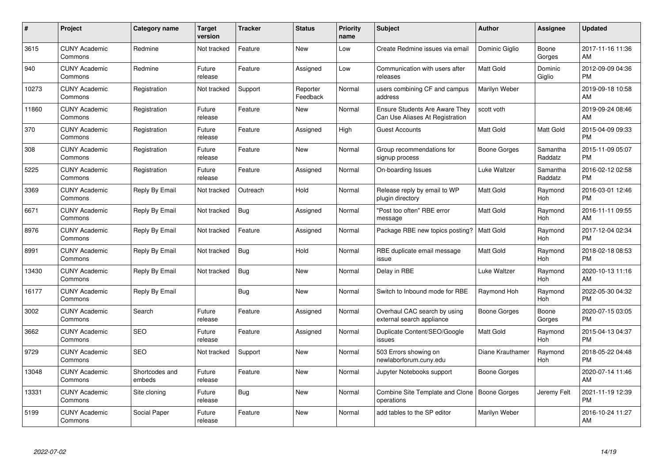| $\#$  | Project                         | <b>Category name</b>     | Target<br>version | <b>Tracker</b> | <b>Status</b>        | Priority<br>name | <b>Subject</b>                                                           | <b>Author</b>    | <b>Assignee</b>     | <b>Updated</b>                |
|-------|---------------------------------|--------------------------|-------------------|----------------|----------------------|------------------|--------------------------------------------------------------------------|------------------|---------------------|-------------------------------|
| 3615  | <b>CUNY Academic</b><br>Commons | Redmine                  | Not tracked       | Feature        | <b>New</b>           | Low              | Create Redmine issues via email                                          | Dominic Giglio   | Boone<br>Gorges     | 2017-11-16 11:36<br>AM        |
| 940   | <b>CUNY Academic</b><br>Commons | Redmine                  | Future<br>release | Feature        | Assigned             | Low              | Communication with users after<br>releases                               | <b>Matt Gold</b> | Dominic<br>Giglio   | 2012-09-09 04:36<br><b>PM</b> |
| 10273 | <b>CUNY Academic</b><br>Commons | Registration             | Not tracked       | Support        | Reporter<br>Feedback | Normal           | users combining CF and campus<br>address                                 | Marilyn Weber    |                     | 2019-09-18 10:58<br>AM        |
| 11860 | <b>CUNY Academic</b><br>Commons | Registration             | Future<br>release | Feature        | <b>New</b>           | Normal           | <b>Ensure Students Are Aware They</b><br>Can Use Aliases At Registration | scott voth       |                     | 2019-09-24 08:46<br>AM        |
| 370   | <b>CUNY Academic</b><br>Commons | Registration             | Future<br>release | Feature        | Assigned             | High             | <b>Guest Accounts</b>                                                    | Matt Gold        | Matt Gold           | 2015-04-09 09:33<br><b>PM</b> |
| 308   | <b>CUNY Academic</b><br>Commons | Registration             | Future<br>release | Feature        | <b>New</b>           | Normal           | Group recommendations for<br>signup process                              | Boone Gorges     | Samantha<br>Raddatz | 2015-11-09 05:07<br><b>PM</b> |
| 5225  | <b>CUNY Academic</b><br>Commons | Registration             | Future<br>release | Feature        | Assigned             | Normal           | On-boarding Issues                                                       | Luke Waltzer     | Samantha<br>Raddatz | 2016-02-12 02:58<br><b>PM</b> |
| 3369  | <b>CUNY Academic</b><br>Commons | Reply By Email           | Not tracked       | Outreach       | Hold                 | Normal           | Release reply by email to WP<br>plugin directory                         | <b>Matt Gold</b> | Raymond<br>Hoh      | 2016-03-01 12:46<br><b>PM</b> |
| 6671  | <b>CUNY Academic</b><br>Commons | Reply By Email           | Not tracked       | <b>Bug</b>     | Assigned             | Normal           | "Post too often" RBE error<br>message                                    | <b>Matt Gold</b> | Raymond<br>Hoh      | 2016-11-11 09:55<br>AM        |
| 8976  | <b>CUNY Academic</b><br>Commons | Reply By Email           | Not tracked       | Feature        | Assigned             | Normal           | Package RBE new topics posting?                                          | <b>Matt Gold</b> | Raymond<br>Hoh      | 2017-12-04 02:34<br><b>PM</b> |
| 8991  | <b>CUNY Academic</b><br>Commons | Reply By Email           | Not tracked       | Bug            | Hold                 | Normal           | RBE duplicate email message<br>issue                                     | Matt Gold        | Raymond<br>Hoh      | 2018-02-18 08:53<br><b>PM</b> |
| 13430 | <b>CUNY Academic</b><br>Commons | Reply By Email           | Not tracked       | Bug            | New                  | Normal           | Delay in RBE                                                             | Luke Waltzer     | Raymond<br>Hoh      | 2020-10-13 11:16<br>AM        |
| 16177 | <b>CUNY Academic</b><br>Commons | Reply By Email           |                   | Bug            | New                  | Normal           | Switch to Inbound mode for RBE                                           | Raymond Hoh      | Raymond<br>Hoh      | 2022-05-30 04:32<br><b>PM</b> |
| 3002  | <b>CUNY Academic</b><br>Commons | Search                   | Future<br>release | Feature        | Assigned             | Normal           | Overhaul CAC search by using<br>external search appliance                | Boone Gorges     | Boone<br>Gorges     | 2020-07-15 03:05<br><b>PM</b> |
| 3662  | <b>CUNY Academic</b><br>Commons | <b>SEO</b>               | Future<br>release | Feature        | Assigned             | Normal           | Duplicate Content/SEO/Google<br>issues                                   | Matt Gold        | Raymond<br>Hoh      | 2015-04-13 04:37<br><b>PM</b> |
| 9729  | <b>CUNY Academic</b><br>Commons | <b>SEO</b>               | Not tracked       | Support        | New                  | Normal           | 503 Errors showing on<br>newlaborforum.cuny.edu                          | Diane Krauthamer | Raymond<br>Hoh      | 2018-05-22 04:48<br><b>PM</b> |
| 13048 | <b>CUNY Academic</b><br>Commons | Shortcodes and<br>embeds | Future<br>release | Feature        | New                  | Normal           | Jupyter Notebooks support                                                | Boone Gorges     |                     | 2020-07-14 11:46<br>AM        |
| 13331 | <b>CUNY Academic</b><br>Commons | Site cloning             | Future<br>release | Bug            | New                  | Normal           | Combine Site Template and Clone<br>operations                            | Boone Gorges     | Jeremy Felt         | 2021-11-19 12:39<br><b>PM</b> |
| 5199  | <b>CUNY Academic</b><br>Commons | Social Paper             | Future<br>release | Feature        | <b>New</b>           | Normal           | add tables to the SP editor                                              | Marilyn Weber    |                     | 2016-10-24 11:27<br>AM        |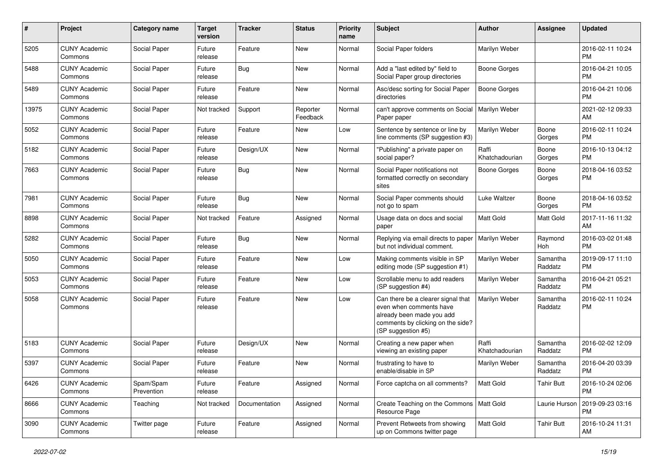| #     | Project                         | <b>Category name</b>    | <b>Target</b><br>version | <b>Tracker</b> | <b>Status</b>        | <b>Priority</b><br>name | <b>Subject</b>                                                                                                                                        | Author                  | <b>Assignee</b>     | <b>Updated</b>                |
|-------|---------------------------------|-------------------------|--------------------------|----------------|----------------------|-------------------------|-------------------------------------------------------------------------------------------------------------------------------------------------------|-------------------------|---------------------|-------------------------------|
| 5205  | <b>CUNY Academic</b><br>Commons | Social Paper            | Future<br>release        | Feature        | New                  | Normal                  | Social Paper folders                                                                                                                                  | Marilyn Weber           |                     | 2016-02-11 10:24<br><b>PM</b> |
| 5488  | <b>CUNY Academic</b><br>Commons | Social Paper            | Future<br>release        | Bug            | New                  | Normal                  | Add a "last edited by" field to<br>Social Paper group directories                                                                                     | Boone Gorges            |                     | 2016-04-21 10:05<br><b>PM</b> |
| 5489  | <b>CUNY Academic</b><br>Commons | Social Paper            | Future<br>release        | Feature        | New                  | Normal                  | Asc/desc sorting for Social Paper<br>directories                                                                                                      | Boone Gorges            |                     | 2016-04-21 10:06<br><b>PM</b> |
| 13975 | <b>CUNY Academic</b><br>Commons | Social Paper            | Not tracked              | Support        | Reporter<br>Feedback | Normal                  | can't approve comments on Social<br>Paper paper                                                                                                       | Marilyn Weber           |                     | 2021-02-12 09:33<br>AM        |
| 5052  | <b>CUNY Academic</b><br>Commons | Social Paper            | Future<br>release        | Feature        | New                  | Low                     | Sentence by sentence or line by<br>line comments (SP suggestion #3)                                                                                   | Marilyn Weber           | Boone<br>Gorges     | 2016-02-11 10:24<br><b>PM</b> |
| 5182  | <b>CUNY Academic</b><br>Commons | Social Paper            | Future<br>release        | Design/UX      | New                  | Normal                  | "Publishing" a private paper on<br>social paper?                                                                                                      | Raffi<br>Khatchadourian | Boone<br>Gorges     | 2016-10-13 04:12<br><b>PM</b> |
| 7663  | <b>CUNY Academic</b><br>Commons | Social Paper            | Future<br>release        | Bug            | New                  | Normal                  | Social Paper notifications not<br>formatted correctly on secondary<br>sites                                                                           | Boone Gorges            | Boone<br>Gorges     | 2018-04-16 03:52<br>PM        |
| 7981  | <b>CUNY Academic</b><br>Commons | Social Paper            | Future<br>release        | Bug            | New                  | Normal                  | Social Paper comments should<br>not go to spam                                                                                                        | Luke Waltzer            | Boone<br>Gorges     | 2018-04-16 03:52<br><b>PM</b> |
| 8898  | <b>CUNY Academic</b><br>Commons | Social Paper            | Not tracked              | Feature        | Assigned             | Normal                  | Usage data on docs and social<br>paper                                                                                                                | <b>Matt Gold</b>        | <b>Matt Gold</b>    | 2017-11-16 11:32<br>AM        |
| 5282  | <b>CUNY Academic</b><br>Commons | Social Paper            | Future<br>release        | <b>Bug</b>     | New                  | Normal                  | Replying via email directs to paper<br>but not individual comment.                                                                                    | Marilyn Weber           | Raymond<br>Hoh      | 2016-03-02 01:48<br><b>PM</b> |
| 5050  | <b>CUNY Academic</b><br>Commons | Social Paper            | Future<br>release        | Feature        | New                  | Low                     | Making comments visible in SP<br>editing mode (SP suggestion #1)                                                                                      | Marilyn Weber           | Samantha<br>Raddatz | 2019-09-17 11:10<br><b>PM</b> |
| 5053  | <b>CUNY Academic</b><br>Commons | Social Paper            | Future<br>release        | Feature        | <b>New</b>           | Low                     | Scrollable menu to add readers<br>(SP suggestion #4)                                                                                                  | Marilyn Weber           | Samantha<br>Raddatz | 2016-04-21 05:21<br><b>PM</b> |
| 5058  | <b>CUNY Academic</b><br>Commons | Social Paper            | Future<br>release        | Feature        | New                  | Low                     | Can there be a clearer signal that<br>even when comments have<br>already been made you add<br>comments by clicking on the side?<br>(SP suggestion #5) | Marilyn Weber           | Samantha<br>Raddatz | 2016-02-11 10:24<br>PM        |
| 5183  | <b>CUNY Academic</b><br>Commons | Social Paper            | Future<br>release        | Design/UX      | New                  | Normal                  | Creating a new paper when<br>viewing an existing paper                                                                                                | Raffi<br>Khatchadourian | Samantha<br>Raddatz | 2016-02-02 12:09<br><b>PM</b> |
| 5397  | <b>CUNY Academic</b><br>Commons | Social Paper            | Future<br>release        | Feature        | New                  | Normal                  | frustrating to have to<br>enable/disable in SP                                                                                                        | Marilyn Weber           | Samantha<br>Raddatz | 2016-04-20 03:39<br>PM        |
| 6426  | <b>CUNY Academic</b><br>Commons | Spam/Spam<br>Prevention | Future<br>release        | Feature        | Assigned             | Normal                  | Force captcha on all comments?                                                                                                                        | Matt Gold               | <b>Tahir Butt</b>   | 2016-10-24 02:06<br><b>PM</b> |
| 8666  | <b>CUNY Academic</b><br>Commons | Teaching                | Not tracked              | Documentation  | Assigned             | Normal                  | Create Teaching on the Commons   Matt Gold<br>Resource Page                                                                                           |                         | Laurie Hurson       | 2019-09-23 03:16<br><b>PM</b> |
| 3090  | <b>CUNY Academic</b><br>Commons | Twitter page            | Future<br>release        | Feature        | Assigned             | Normal                  | Prevent Retweets from showing<br>up on Commons twitter page                                                                                           | Matt Gold               | <b>Tahir Butt</b>   | 2016-10-24 11:31<br>AM        |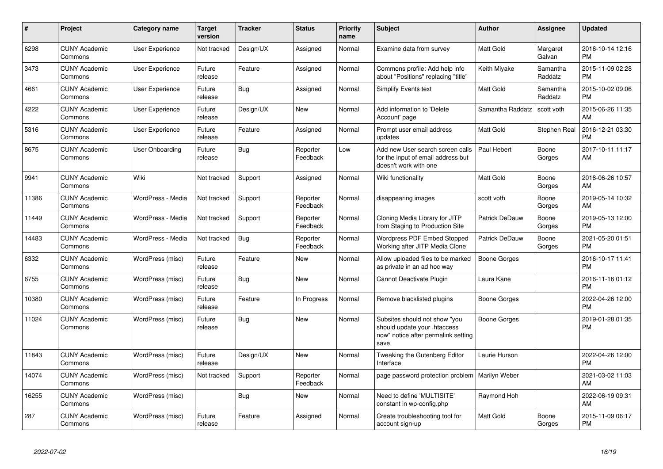| #     | Project                         | <b>Category name</b> | <b>Target</b><br>version | <b>Tracker</b> | <b>Status</b>        | <b>Priority</b><br>name | <b>Subject</b>                                                                                               | <b>Author</b>    | <b>Assignee</b>     | <b>Updated</b>                |
|-------|---------------------------------|----------------------|--------------------------|----------------|----------------------|-------------------------|--------------------------------------------------------------------------------------------------------------|------------------|---------------------|-------------------------------|
| 6298  | <b>CUNY Academic</b><br>Commons | User Experience      | Not tracked              | Design/UX      | Assigned             | Normal                  | Examine data from survey                                                                                     | <b>Matt Gold</b> | Margaret<br>Galvan  | 2016-10-14 12:16<br><b>PM</b> |
| 3473  | <b>CUNY Academic</b><br>Commons | User Experience      | Future<br>release        | Feature        | Assigned             | Normal                  | Commons profile: Add help info<br>about "Positions" replacing "title"                                        | Keith Miyake     | Samantha<br>Raddatz | 2015-11-09 02:28<br><b>PM</b> |
| 4661  | <b>CUNY Academic</b><br>Commons | User Experience      | Future<br>release        | <b>Bug</b>     | Assigned             | Normal                  | Simplify Events text                                                                                         | Matt Gold        | Samantha<br>Raddatz | 2015-10-02 09:06<br><b>PM</b> |
| 4222  | <b>CUNY Academic</b><br>Commons | User Experience      | Future<br>release        | Design/UX      | New                  | Normal                  | Add information to 'Delete<br>Account' page                                                                  | Samantha Raddatz | scott voth          | 2015-06-26 11:35<br>AM        |
| 5316  | <b>CUNY Academic</b><br>Commons | User Experience      | Future<br>release        | Feature        | Assigned             | Normal                  | Prompt user email address<br>updates                                                                         | <b>Matt Gold</b> | Stephen Real        | 2016-12-21 03:30<br><b>PM</b> |
| 8675  | <b>CUNY Academic</b><br>Commons | User Onboarding      | Future<br>release        | Bug            | Reporter<br>Feedback | Low                     | Add new User search screen calls<br>for the input of email address but<br>doesn't work with one              | Paul Hebert      | Boone<br>Gorges     | 2017-10-11 11:17<br>AM        |
| 9941  | <b>CUNY Academic</b><br>Commons | Wiki                 | Not tracked              | Support        | Assigned             | Normal                  | Wiki functionality                                                                                           | <b>Matt Gold</b> | Boone<br>Gorges     | 2018-06-26 10:57<br>AM        |
| 11386 | <b>CUNY Academic</b><br>Commons | WordPress - Media    | Not tracked              | Support        | Reporter<br>Feedback | Normal                  | disappearing images                                                                                          | scott voth       | Boone<br>Gorges     | 2019-05-14 10:32<br>AM        |
| 11449 | <b>CUNY Academic</b><br>Commons | WordPress - Media    | Not tracked              | Support        | Reporter<br>Feedback | Normal                  | Cloning Media Library for JITP<br>from Staging to Production Site                                            | Patrick DeDauw   | Boone<br>Gorges     | 2019-05-13 12:00<br><b>PM</b> |
| 14483 | <b>CUNY Academic</b><br>Commons | WordPress - Media    | Not tracked              | Bug            | Reporter<br>Feedback | Normal                  | Wordpress PDF Embed Stopped<br>Working after JITP Media Clone                                                | Patrick DeDauw   | Boone<br>Gorges     | 2021-05-20 01:51<br><b>PM</b> |
| 6332  | <b>CUNY Academic</b><br>Commons | WordPress (misc)     | Future<br>release        | Feature        | New                  | Normal                  | Allow uploaded files to be marked<br>as private in an ad hoc way                                             | Boone Gorges     |                     | 2016-10-17 11:41<br><b>PM</b> |
| 6755  | <b>CUNY Academic</b><br>Commons | WordPress (misc)     | Future<br>release        | Bug            | <b>New</b>           | Normal                  | Cannot Deactivate Plugin                                                                                     | Laura Kane       |                     | 2016-11-16 01:12<br><b>PM</b> |
| 10380 | <b>CUNY Academic</b><br>Commons | WordPress (misc)     | Future<br>release        | Feature        | In Progress          | Normal                  | Remove blacklisted plugins                                                                                   | Boone Gorges     |                     | 2022-04-26 12:00<br><b>PM</b> |
| 11024 | <b>CUNY Academic</b><br>Commons | WordPress (misc)     | Future<br>release        | Bug            | <b>New</b>           | Normal                  | Subsites should not show "you<br>should update your .htaccess<br>now" notice after permalink setting<br>save | Boone Gorges     |                     | 2019-01-28 01:35<br><b>PM</b> |
| 11843 | <b>CUNY Academic</b><br>Commons | WordPress (misc)     | Future<br>release        | Design/UX      | <b>New</b>           | Normal                  | Tweaking the Gutenberg Editor<br>Interface                                                                   | Laurie Hurson    |                     | 2022-04-26 12:00<br><b>PM</b> |
| 14074 | <b>CUNY Academic</b><br>Commons | WordPress (misc)     | Not tracked              | Support        | Reporter<br>Feedback | Normal                  | page password protection problem                                                                             | Marilyn Weber    |                     | 2021-03-02 11:03<br>AM        |
| 16255 | <b>CUNY Academic</b><br>Commons | WordPress (misc)     |                          | Bug            | <b>New</b>           | Normal                  | Need to define 'MULTISITE'<br>constant in wp-config.php                                                      | Raymond Hoh      |                     | 2022-06-19 09:31<br>AM        |
| 287   | <b>CUNY Academic</b><br>Commons | WordPress (misc)     | Future<br>release        | Feature        | Assigned             | Normal                  | Create troubleshooting tool for<br>account sign-up                                                           | <b>Matt Gold</b> | Boone<br>Gorges     | 2015-11-09 06:17<br><b>PM</b> |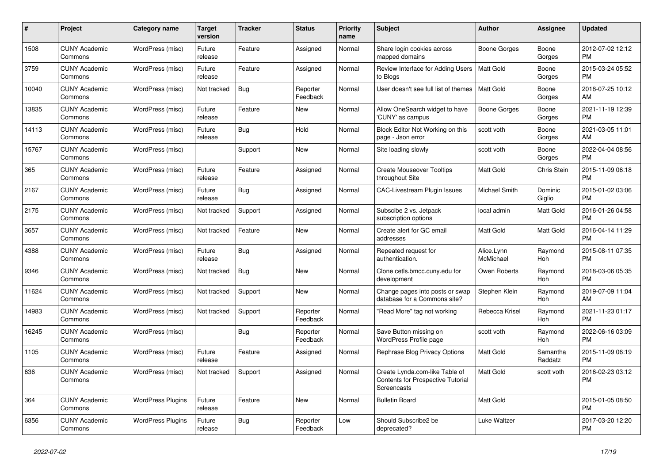| #     | Project                         | <b>Category name</b>     | Target<br>version | <b>Tracker</b> | <b>Status</b>        | <b>Priority</b><br>name | <b>Subject</b>                                                                     | <b>Author</b>           | Assignee            | <b>Updated</b>                |
|-------|---------------------------------|--------------------------|-------------------|----------------|----------------------|-------------------------|------------------------------------------------------------------------------------|-------------------------|---------------------|-------------------------------|
| 1508  | <b>CUNY Academic</b><br>Commons | WordPress (misc)         | Future<br>release | Feature        | Assigned             | Normal                  | Share login cookies across<br>mapped domains                                       | Boone Gorges            | Boone<br>Gorges     | 2012-07-02 12:12<br><b>PM</b> |
| 3759  | <b>CUNY Academic</b><br>Commons | WordPress (misc)         | Future<br>release | Feature        | Assigned             | Normal                  | Review Interface for Adding Users<br>to Blogs                                      | Matt Gold               | Boone<br>Gorges     | 2015-03-24 05:52<br><b>PM</b> |
| 10040 | <b>CUNY Academic</b><br>Commons | WordPress (misc)         | Not tracked       | <b>Bug</b>     | Reporter<br>Feedback | Normal                  | User doesn't see full list of themes                                               | <b>Matt Gold</b>        | Boone<br>Gorges     | 2018-07-25 10:12<br>AM        |
| 13835 | <b>CUNY Academic</b><br>Commons | WordPress (misc)         | Future<br>release | Feature        | <b>New</b>           | Normal                  | Allow OneSearch widget to have<br>'CUNY' as campus                                 | <b>Boone Gorges</b>     | Boone<br>Gorges     | 2021-11-19 12:39<br><b>PM</b> |
| 14113 | <b>CUNY Academic</b><br>Commons | WordPress (misc)         | Future<br>release | Bug            | Hold                 | Normal                  | Block Editor Not Working on this<br>page - Json error                              | scott voth              | Boone<br>Gorges     | 2021-03-05 11:01<br>AM        |
| 15767 | <b>CUNY Academic</b><br>Commons | WordPress (misc)         |                   | Support        | New                  | Normal                  | Site loading slowly                                                                | scott voth              | Boone<br>Gorges     | 2022-04-04 08:56<br><b>PM</b> |
| 365   | <b>CUNY Academic</b><br>Commons | WordPress (misc)         | Future<br>release | Feature        | Assigned             | Normal                  | <b>Create Mouseover Tooltips</b><br>throughout Site                                | <b>Matt Gold</b>        | <b>Chris Stein</b>  | 2015-11-09 06:18<br><b>PM</b> |
| 2167  | <b>CUNY Academic</b><br>Commons | WordPress (misc)         | Future<br>release | <b>Bug</b>     | Assigned             | Normal                  | <b>CAC-Livestream Plugin Issues</b>                                                | Michael Smith           | Dominic<br>Giglio   | 2015-01-02 03:06<br><b>PM</b> |
| 2175  | <b>CUNY Academic</b><br>Commons | WordPress (misc)         | Not tracked       | Support        | Assigned             | Normal                  | Subscibe 2 vs. Jetpack<br>subscription options                                     | local admin             | Matt Gold           | 2016-01-26 04:58<br><b>PM</b> |
| 3657  | <b>CUNY Academic</b><br>Commons | WordPress (misc)         | Not tracked       | Feature        | <b>New</b>           | Normal                  | Create alert for GC email<br>addresses                                             | Matt Gold               | Matt Gold           | 2016-04-14 11:29<br><b>PM</b> |
| 4388  | <b>CUNY Academic</b><br>Commons | WordPress (misc)         | Future<br>release | <b>Bug</b>     | Assigned             | Normal                  | Repeated request for<br>authentication.                                            | Alice.Lynn<br>McMichael | Raymond<br>Hoh      | 2015-08-11 07:35<br><b>PM</b> |
| 9346  | <b>CUNY Academic</b><br>Commons | WordPress (misc)         | Not tracked       | <b>Bug</b>     | New                  | Normal                  | Clone cetls.bmcc.cuny.edu for<br>development                                       | Owen Roberts            | Raymond<br>Hoh      | 2018-03-06 05:35<br><b>PM</b> |
| 11624 | <b>CUNY Academic</b><br>Commons | WordPress (misc)         | Not tracked       | Support        | <b>New</b>           | Normal                  | Change pages into posts or swap<br>database for a Commons site?                    | Stephen Klein           | Raymond<br>Hoh      | 2019-07-09 11:04<br>AM        |
| 14983 | <b>CUNY Academic</b><br>Commons | WordPress (misc)         | Not tracked       | Support        | Reporter<br>Feedback | Normal                  | "Read More" tag not working                                                        | Rebecca Krisel          | Raymond<br>Hoh      | 2021-11-23 01:17<br><b>PM</b> |
| 16245 | <b>CUNY Academic</b><br>Commons | WordPress (misc)         |                   | Bug            | Reporter<br>Feedback | Normal                  | Save Button missing on<br>WordPress Profile page                                   | scott voth              | Raymond<br>Hoh      | 2022-06-16 03:09<br><b>PM</b> |
| 1105  | <b>CUNY Academic</b><br>Commons | WordPress (misc)         | Future<br>release | Feature        | Assigned             | Normal                  | Rephrase Blog Privacy Options                                                      | <b>Matt Gold</b>        | Samantha<br>Raddatz | 2015-11-09 06:19<br><b>PM</b> |
| 636   | <b>CUNY Academic</b><br>Commons | WordPress (misc)         | Not tracked       | Support        | Assigned             | Normal                  | Create Lynda.com-like Table of<br>Contents for Prospective Tutorial<br>Screencasts | Matt Gold               | scott voth          | 2016-02-23 03:12<br>PM        |
| 364   | <b>CUNY Academic</b><br>Commons | <b>WordPress Plugins</b> | Future<br>release | Feature        | New                  | Normal                  | <b>Bulletin Board</b>                                                              | Matt Gold               |                     | 2015-01-05 08:50<br><b>PM</b> |
| 6356  | <b>CUNY Academic</b><br>Commons | <b>WordPress Plugins</b> | Future<br>release | <b>Bug</b>     | Reporter<br>Feedback | Low                     | Should Subscribe2 be<br>deprecated?                                                | Luke Waltzer            |                     | 2017-03-20 12:20<br><b>PM</b> |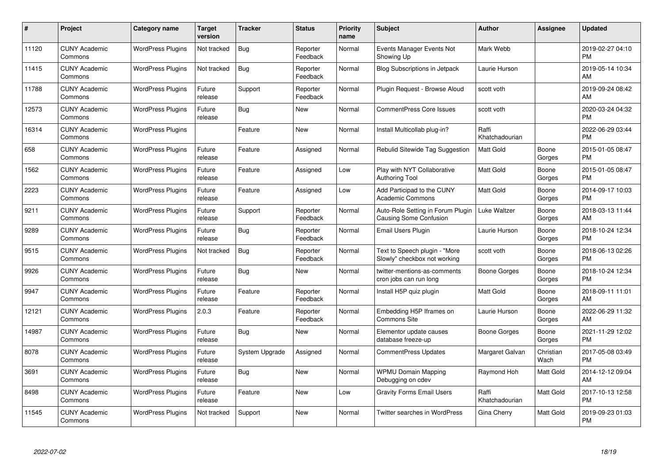| #     | Project                         | <b>Category name</b>     | <b>Target</b><br>version | <b>Tracker</b> | <b>Status</b>        | <b>Priority</b><br>name | <b>Subject</b>                                                     | <b>Author</b>           | Assignee          | <b>Updated</b>                |
|-------|---------------------------------|--------------------------|--------------------------|----------------|----------------------|-------------------------|--------------------------------------------------------------------|-------------------------|-------------------|-------------------------------|
| 11120 | <b>CUNY Academic</b><br>Commons | <b>WordPress Plugins</b> | Not tracked              | <b>Bug</b>     | Reporter<br>Feedback | Normal                  | Events Manager Events Not<br>Showing Up                            | Mark Webb               |                   | 2019-02-27 04:10<br><b>PM</b> |
| 11415 | <b>CUNY Academic</b><br>Commons | <b>WordPress Plugins</b> | Not tracked              | Bug            | Reporter<br>Feedback | Normal                  | Blog Subscriptions in Jetpack                                      | Laurie Hurson           |                   | 2019-05-14 10:34<br>AM        |
| 11788 | <b>CUNY Academic</b><br>Commons | <b>WordPress Plugins</b> | Future<br>release        | Support        | Reporter<br>Feedback | Normal                  | Plugin Request - Browse Aloud                                      | scott voth              |                   | 2019-09-24 08:42<br>AM        |
| 12573 | <b>CUNY Academic</b><br>Commons | <b>WordPress Plugins</b> | Future<br>release        | Bug            | New                  | Normal                  | <b>CommentPress Core Issues</b>                                    | scott voth              |                   | 2020-03-24 04:32<br><b>PM</b> |
| 16314 | <b>CUNY Academic</b><br>Commons | <b>WordPress Plugins</b> |                          | Feature        | <b>New</b>           | Normal                  | Install Multicollab plug-in?                                       | Raffi<br>Khatchadourian |                   | 2022-06-29 03:44<br><b>PM</b> |
| 658   | <b>CUNY Academic</b><br>Commons | <b>WordPress Plugins</b> | Future<br>release        | Feature        | Assigned             | Normal                  | Rebulid Sitewide Tag Suggestion                                    | <b>Matt Gold</b>        | Boone<br>Gorges   | 2015-01-05 08:47<br><b>PM</b> |
| 1562  | <b>CUNY Academic</b><br>Commons | <b>WordPress Plugins</b> | Future<br>release        | Feature        | Assigned             | Low                     | Play with NYT Collaborative<br><b>Authoring Tool</b>               | <b>Matt Gold</b>        | Boone<br>Gorges   | 2015-01-05 08:47<br><b>PM</b> |
| 2223  | <b>CUNY Academic</b><br>Commons | <b>WordPress Plugins</b> | Future<br>release        | Feature        | Assigned             | Low                     | Add Participad to the CUNY<br><b>Academic Commons</b>              | <b>Matt Gold</b>        | Boone<br>Gorges   | 2014-09-17 10:03<br><b>PM</b> |
| 9211  | <b>CUNY Academic</b><br>Commons | <b>WordPress Plugins</b> | Future<br>release        | Support        | Reporter<br>Feedback | Normal                  | Auto-Role Setting in Forum Plugin<br><b>Causing Some Confusion</b> | Luke Waltzer            | Boone<br>Gorges   | 2018-03-13 11:44<br>AM        |
| 9289  | <b>CUNY Academic</b><br>Commons | <b>WordPress Plugins</b> | Future<br>release        | Bug            | Reporter<br>Feedback | Normal                  | Email Users Plugin                                                 | Laurie Hurson           | Boone<br>Gorges   | 2018-10-24 12:34<br><b>PM</b> |
| 9515  | <b>CUNY Academic</b><br>Commons | <b>WordPress Plugins</b> | Not tracked              | <b>Bug</b>     | Reporter<br>Feedback | Normal                  | Text to Speech plugin - "More<br>Slowly" checkbox not working      | scott voth              | Boone<br>Gorges   | 2018-06-13 02:26<br><b>PM</b> |
| 9926  | <b>CUNY Academic</b><br>Commons | <b>WordPress Plugins</b> | Future<br>release        | <b>Bug</b>     | New                  | Normal                  | twitter-mentions-as-comments<br>cron jobs can run long             | Boone Gorges            | Boone<br>Gorges   | 2018-10-24 12:34<br><b>PM</b> |
| 9947  | <b>CUNY Academic</b><br>Commons | <b>WordPress Plugins</b> | Future<br>release        | Feature        | Reporter<br>Feedback | Normal                  | Install H5P quiz plugin                                            | Matt Gold               | Boone<br>Gorges   | 2018-09-11 11:01<br>AM        |
| 12121 | <b>CUNY Academic</b><br>Commons | <b>WordPress Plugins</b> | 2.0.3                    | Feature        | Reporter<br>Feedback | Normal                  | Embedding H5P Iframes on<br>Commons Site                           | Laurie Hurson           | Boone<br>Gorges   | 2022-06-29 11:32<br>AM        |
| 14987 | <b>CUNY Academic</b><br>Commons | <b>WordPress Plugins</b> | Future<br>release        | Bug            | New                  | Normal                  | Elementor update causes<br>database freeze-up                      | Boone Gorges            | Boone<br>Gorges   | 2021-11-29 12:02<br><b>PM</b> |
| 8078  | <b>CUNY Academic</b><br>Commons | <b>WordPress Plugins</b> | Future<br>release        | System Upgrade | Assigned             | Normal                  | <b>CommentPress Updates</b>                                        | Margaret Galvan         | Christian<br>Wach | 2017-05-08 03:49<br><b>PM</b> |
| 3691  | <b>CUNY Academic</b><br>Commons | <b>WordPress Plugins</b> | Future<br>release        | Bug            | New                  | Normal                  | <b>WPMU Domain Mapping</b><br>Debugging on cdev                    | Raymond Hoh             | Matt Gold         | 2014-12-12 09:04<br>AM        |
| 8498  | <b>CUNY Academic</b><br>Commons | <b>WordPress Plugins</b> | Future<br>release        | Feature        | <b>New</b>           | Low                     | <b>Gravity Forms Email Users</b>                                   | Raffi<br>Khatchadourian | Matt Gold         | 2017-10-13 12:58<br><b>PM</b> |
| 11545 | <b>CUNY Academic</b><br>Commons | <b>WordPress Plugins</b> | Not tracked              | Support        | <b>New</b>           | Normal                  | Twitter searches in WordPress                                      | Gina Cherry             | Matt Gold         | 2019-09-23 01:03<br>PM        |